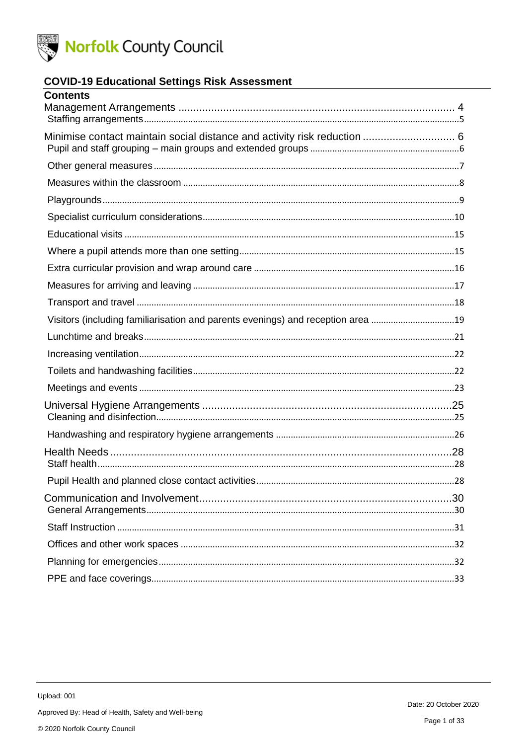

### **COVID-19 Educational Settings Risk Assessment**

| <b>Contents</b>                                                                 |  |
|---------------------------------------------------------------------------------|--|
|                                                                                 |  |
| Minimise contact maintain social distance and activity risk reduction  6        |  |
|                                                                                 |  |
|                                                                                 |  |
|                                                                                 |  |
|                                                                                 |  |
|                                                                                 |  |
|                                                                                 |  |
|                                                                                 |  |
|                                                                                 |  |
|                                                                                 |  |
| Visitors (including familiarisation and parents evenings) and reception area 19 |  |
|                                                                                 |  |
|                                                                                 |  |
|                                                                                 |  |
|                                                                                 |  |
|                                                                                 |  |
|                                                                                 |  |
|                                                                                 |  |
|                                                                                 |  |
|                                                                                 |  |
|                                                                                 |  |
|                                                                                 |  |
|                                                                                 |  |
|                                                                                 |  |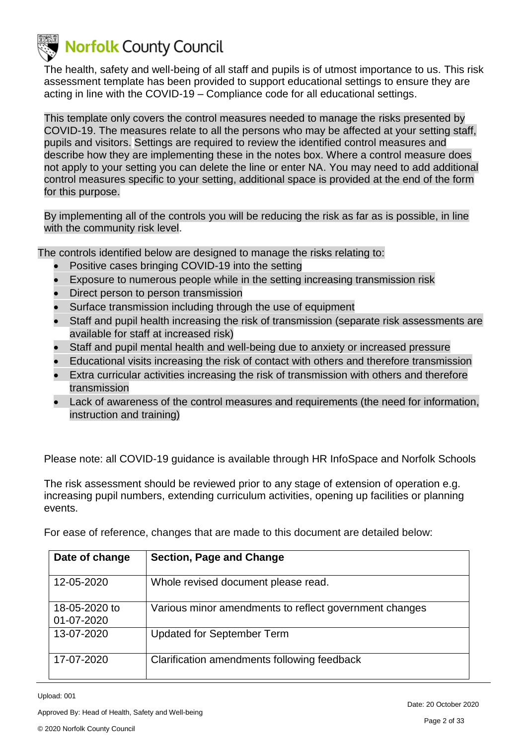

The health, safety and well-being of all staff and pupils is of utmost importance to us. This risk assessment template has been provided to support educational settings to ensure they are acting in line with the COVID-19 – Compliance code for all educational settings.

This template only covers the control measures needed to manage the risks presented by COVID-19. The measures relate to all the persons who may be affected at your setting staff, pupils and visitors. Settings are required to review the identified control measures and describe how they are implementing these in the notes box. Where a control measure does not apply to your setting you can delete the line or enter NA. You may need to add additional control measures specific to your setting, additional space is provided at the end of the form for this purpose.

By implementing all of the controls you will be reducing the risk as far as is possible, in line with the community risk level.

The controls identified below are designed to manage the risks relating to:

- Positive cases bringing COVID-19 into the setting
- Exposure to numerous people while in the setting increasing transmission risk
- Direct person to person transmission
- Surface transmission including through the use of equipment
- Staff and pupil health increasing the risk of transmission (separate risk assessments are available for staff at increased risk)
- Staff and pupil mental health and well-being due to anxiety or increased pressure
- Educational visits increasing the risk of contact with others and therefore transmission
- Extra curricular activities increasing the risk of transmission with others and therefore transmission
- Lack of awareness of the control measures and requirements (the need for information, instruction and training)

Please note: all COVID-19 guidance is available through HR InfoSpace and Norfolk Schools

The risk assessment should be reviewed prior to any stage of extension of operation e.g. increasing pupil numbers, extending curriculum activities, opening up facilities or planning events.

For ease of reference, changes that are made to this document are detailed below:

| Date of change              | Section, Page and Change                               |
|-----------------------------|--------------------------------------------------------|
| 12-05-2020                  | Whole revised document please read.                    |
| 18-05-2020 to<br>01-07-2020 | Various minor amendments to reflect government changes |
| 13-07-2020                  | <b>Updated for September Term</b>                      |
| 17-07-2020                  | Clarification amendments following feedback            |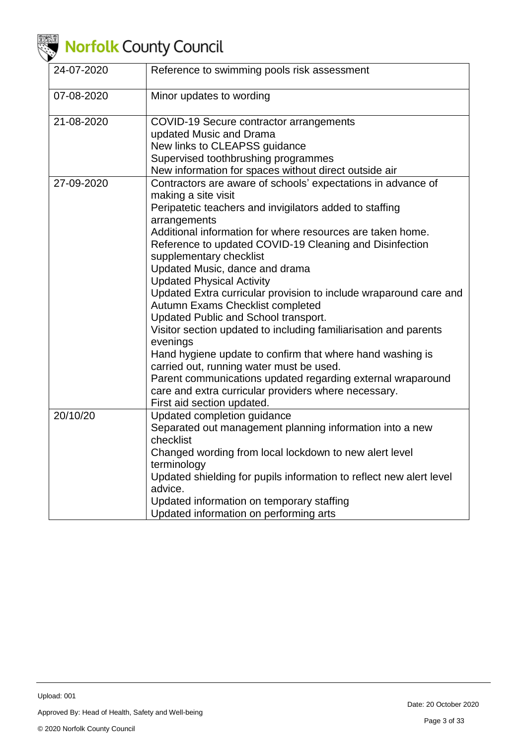

| 24-07-2020 | Reference to swimming pools risk assessment                                                                                                                                                                                                                                                                                                                                                                                                                                                                                                                                                                                                                                                                                                                                                                                                                                             |
|------------|-----------------------------------------------------------------------------------------------------------------------------------------------------------------------------------------------------------------------------------------------------------------------------------------------------------------------------------------------------------------------------------------------------------------------------------------------------------------------------------------------------------------------------------------------------------------------------------------------------------------------------------------------------------------------------------------------------------------------------------------------------------------------------------------------------------------------------------------------------------------------------------------|
| 07-08-2020 | Minor updates to wording                                                                                                                                                                                                                                                                                                                                                                                                                                                                                                                                                                                                                                                                                                                                                                                                                                                                |
| 21-08-2020 | COVID-19 Secure contractor arrangements<br>updated Music and Drama<br>New links to CLEAPSS guidance<br>Supervised toothbrushing programmes<br>New information for spaces without direct outside air                                                                                                                                                                                                                                                                                                                                                                                                                                                                                                                                                                                                                                                                                     |
| 27-09-2020 | Contractors are aware of schools' expectations in advance of<br>making a site visit<br>Peripatetic teachers and invigilators added to staffing<br>arrangements<br>Additional information for where resources are taken home.<br>Reference to updated COVID-19 Cleaning and Disinfection<br>supplementary checklist<br>Updated Music, dance and drama<br><b>Updated Physical Activity</b><br>Updated Extra curricular provision to include wraparound care and<br>Autumn Exams Checklist completed<br>Updated Public and School transport.<br>Visitor section updated to including familiarisation and parents<br>evenings<br>Hand hygiene update to confirm that where hand washing is<br>carried out, running water must be used.<br>Parent communications updated regarding external wraparound<br>care and extra curricular providers where necessary.<br>First aid section updated. |
| 20/10/20   | Updated completion guidance<br>Separated out management planning information into a new<br>checklist<br>Changed wording from local lockdown to new alert level<br>terminology<br>Updated shielding for pupils information to reflect new alert level<br>advice.<br>Updated information on temporary staffing<br>Updated information on performing arts                                                                                                                                                                                                                                                                                                                                                                                                                                                                                                                                  |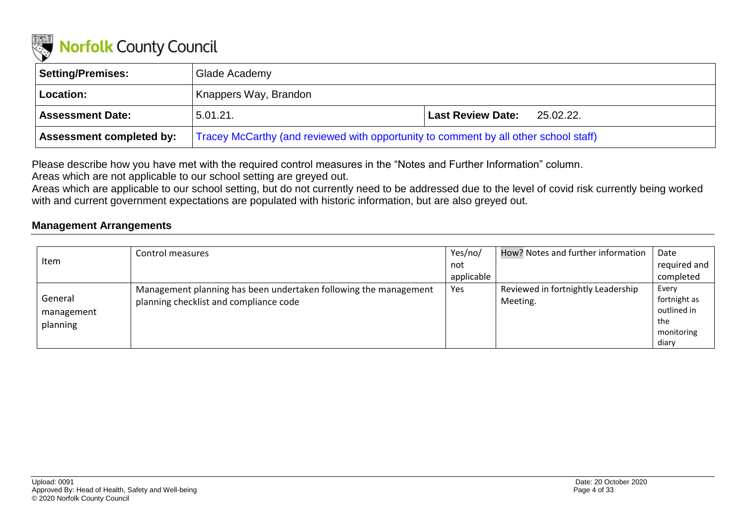

| Setting/Premises:               | Glade Academy                                                                        |                                       |
|---------------------------------|--------------------------------------------------------------------------------------|---------------------------------------|
| Location:                       | Knappers Way, Brandon                                                                |                                       |
| <b>Assessment Date:</b>         | 5.01.21.                                                                             | <b>Last Review Date:</b><br>25.02.22. |
| <b>Assessment completed by:</b> | Tracey McCarthy (and reviewed with opportunity to comment by all other school staff) |                                       |

Please describe how you have met with the required control measures in the "Notes and Further Information" column.

Areas which are not applicable to our school setting are greyed out.

Areas which are applicable to our school setting, but do not currently need to be addressed due to the level of covid risk currently being worked with and current government expectations are populated with historic information, but are also greyed out.

### **Management Arrangements**

<span id="page-3-0"></span>

|            | Control measures                                                 | Yes/no/    | How? Notes and further information | Date         |
|------------|------------------------------------------------------------------|------------|------------------------------------|--------------|
| Item       |                                                                  | not        |                                    | required and |
|            |                                                                  | applicable |                                    | completed    |
|            | Management planning has been undertaken following the management | Yes        | Reviewed in fortnightly Leadership | Every        |
| General    | planning checklist and compliance code                           |            | Meeting.                           | fortnight as |
| management |                                                                  |            |                                    | outlined in  |
| planning   |                                                                  |            |                                    | the          |
|            |                                                                  |            |                                    | monitoring   |
|            |                                                                  |            |                                    | diary        |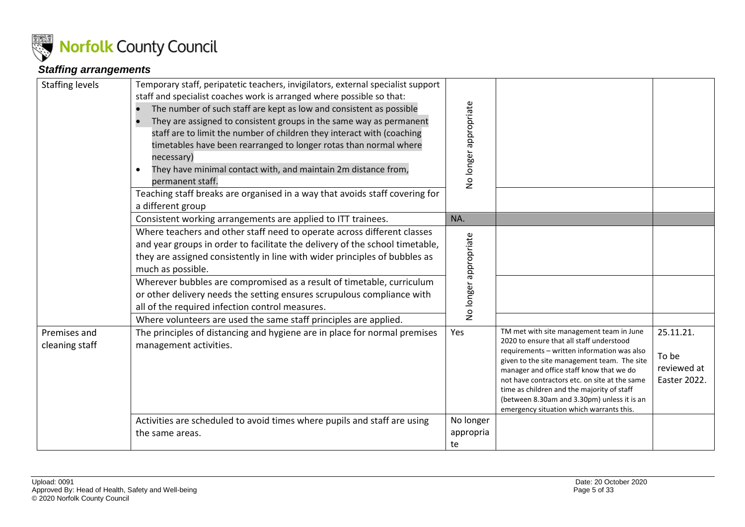

### *Staffing arrangements*

<span id="page-4-0"></span>

| <b>Staffing levels</b>         | Temporary staff, peripatetic teachers, invigilators, external specialist support<br>staff and specialist coaches work is arranged where possible so that:<br>The number of such staff are kept as low and consistent as possible<br>They are assigned to consistent groups in the same way as permanent<br>staff are to limit the number of children they interact with (coaching<br>timetables have been rearranged to longer rotas than normal where<br>necessary)<br>They have minimal contact with, and maintain 2m distance from,<br>$\bullet$<br>permanent staff.<br>Teaching staff breaks are organised in a way that avoids staff covering for<br>a different group | No longer appropriate        |                                                                                                                                                                                                                                                                                                                                                                                                                          |                                                   |
|--------------------------------|-----------------------------------------------------------------------------------------------------------------------------------------------------------------------------------------------------------------------------------------------------------------------------------------------------------------------------------------------------------------------------------------------------------------------------------------------------------------------------------------------------------------------------------------------------------------------------------------------------------------------------------------------------------------------------|------------------------------|--------------------------------------------------------------------------------------------------------------------------------------------------------------------------------------------------------------------------------------------------------------------------------------------------------------------------------------------------------------------------------------------------------------------------|---------------------------------------------------|
|                                | Consistent working arrangements are applied to ITT trainees.                                                                                                                                                                                                                                                                                                                                                                                                                                                                                                                                                                                                                | NA.                          |                                                                                                                                                                                                                                                                                                                                                                                                                          |                                                   |
|                                | Where teachers and other staff need to operate across different classes<br>and year groups in order to facilitate the delivery of the school timetable,<br>they are assigned consistently in line with wider principles of bubbles as<br>much as possible.<br>Wherever bubbles are compromised as a result of timetable, curriculum<br>or other delivery needs the setting ensures scrupulous compliance with<br>all of the required infection control measures.<br>Where volunteers are used the same staff principles are applied.                                                                                                                                        | No longer appropriate        |                                                                                                                                                                                                                                                                                                                                                                                                                          |                                                   |
| Premises and<br>cleaning staff | The principles of distancing and hygiene are in place for normal premises<br>management activities.                                                                                                                                                                                                                                                                                                                                                                                                                                                                                                                                                                         | Yes                          | TM met with site management team in June<br>2020 to ensure that all staff understood<br>requirements - written information was also<br>given to the site management team. The site<br>manager and office staff know that we do<br>not have contractors etc. on site at the same<br>time as children and the majority of staff<br>(between 8.30am and 3.30pm) unless it is an<br>emergency situation which warrants this. | 25.11.21.<br>To be<br>reviewed at<br>Easter 2022. |
|                                | Activities are scheduled to avoid times where pupils and staff are using<br>the same areas.                                                                                                                                                                                                                                                                                                                                                                                                                                                                                                                                                                                 | No longer<br>appropria<br>te |                                                                                                                                                                                                                                                                                                                                                                                                                          |                                                   |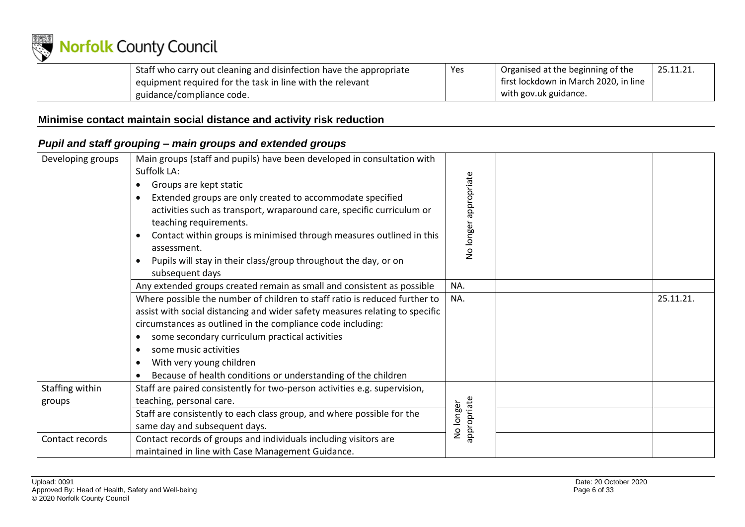

| Staff who carry out cleaning and disinfection have the appropriate | Yes | Organised at the beginning of the     | 25.11.21 |
|--------------------------------------------------------------------|-----|---------------------------------------|----------|
| equipment required for the task in line with the relevant          |     | first lockdown in March 2020, in line |          |
| guidance/compliance code.                                          |     | with gov.uk guidance.                 |          |

### **Minimise contact maintain social distance and activity risk reduction**

### *Pupil and staff grouping – main groups and extended groups*

<span id="page-5-1"></span><span id="page-5-0"></span>

| Developing groups | Main groups (staff and pupils) have been developed in consultation with<br>Suffolk LA:<br>Groups are kept static<br>$\bullet$<br>Extended groups are only created to accommodate specified<br>$\bullet$<br>activities such as transport, wraparound care, specific curriculum or<br>teaching requirements.<br>Contact within groups is minimised through measures outlined in this<br>assessment.<br>Pupils will stay in their class/group throughout the day, or on<br>subsequent days | appropriate<br>No longer |           |
|-------------------|-----------------------------------------------------------------------------------------------------------------------------------------------------------------------------------------------------------------------------------------------------------------------------------------------------------------------------------------------------------------------------------------------------------------------------------------------------------------------------------------|--------------------------|-----------|
|                   | Any extended groups created remain as small and consistent as possible                                                                                                                                                                                                                                                                                                                                                                                                                  | NA.                      |           |
|                   | Where possible the number of children to staff ratio is reduced further to<br>assist with social distancing and wider safety measures relating to specific<br>circumstances as outlined in the compliance code including:<br>some secondary curriculum practical activities<br>$\bullet$<br>some music activities<br>$\bullet$<br>With very young children<br>$\bullet$<br>Because of health conditions or understanding of the children                                                | NA.                      | 25.11.21. |
| Staffing within   | Staff are paired consistently for two-person activities e.g. supervision,                                                                                                                                                                                                                                                                                                                                                                                                               |                          |           |
| groups            | teaching, personal care.                                                                                                                                                                                                                                                                                                                                                                                                                                                                | appropriate<br>No longer |           |
|                   | Staff are consistently to each class group, and where possible for the<br>same day and subsequent days.                                                                                                                                                                                                                                                                                                                                                                                 |                          |           |
| Contact records   | Contact records of groups and individuals including visitors are<br>maintained in line with Case Management Guidance.                                                                                                                                                                                                                                                                                                                                                                   |                          |           |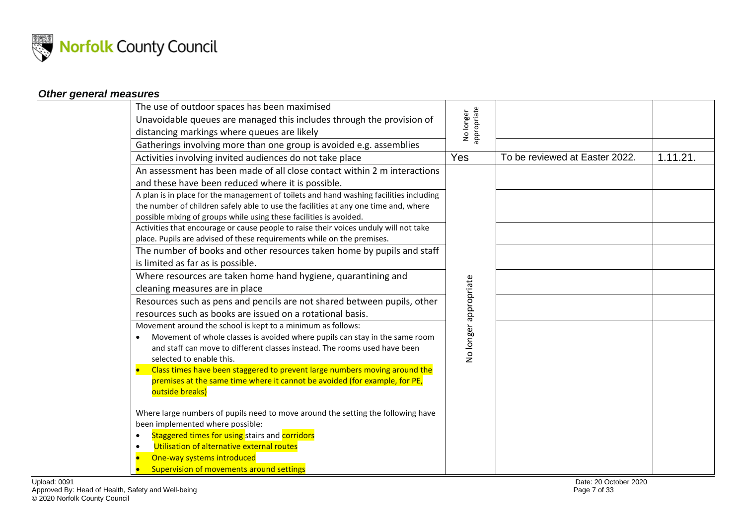

### *Other general measures*

<span id="page-6-0"></span>

|              | The use of outdoor spaces has been maximised                                                                                                                                                                                                                                                                                                                                                                    |                          |                                |          |
|--------------|-----------------------------------------------------------------------------------------------------------------------------------------------------------------------------------------------------------------------------------------------------------------------------------------------------------------------------------------------------------------------------------------------------------------|--------------------------|--------------------------------|----------|
|              | Unavoidable queues are managed this includes through the provision of                                                                                                                                                                                                                                                                                                                                           | No longer<br>appropriate |                                |          |
|              | distancing markings where queues are likely                                                                                                                                                                                                                                                                                                                                                                     |                          |                                |          |
|              | Gatherings involving more than one group is avoided e.g. assemblies                                                                                                                                                                                                                                                                                                                                             |                          |                                |          |
|              | Activities involving invited audiences do not take place                                                                                                                                                                                                                                                                                                                                                        | Yes                      | To be reviewed at Easter 2022. | 1.11.21. |
|              | An assessment has been made of all close contact within 2 m interactions                                                                                                                                                                                                                                                                                                                                        |                          |                                |          |
|              | and these have been reduced where it is possible.                                                                                                                                                                                                                                                                                                                                                               |                          |                                |          |
|              | A plan is in place for the management of toilets and hand washing facilities including<br>the number of children safely able to use the facilities at any one time and, where<br>possible mixing of groups while using these facilities is avoided.                                                                                                                                                             |                          |                                |          |
|              | Activities that encourage or cause people to raise their voices unduly will not take<br>place. Pupils are advised of these requirements while on the premises.                                                                                                                                                                                                                                                  |                          |                                |          |
|              | The number of books and other resources taken home by pupils and staff<br>is limited as far as is possible.                                                                                                                                                                                                                                                                                                     |                          |                                |          |
|              | Where resources are taken home hand hygiene, quarantining and<br>cleaning measures are in place                                                                                                                                                                                                                                                                                                                 |                          |                                |          |
|              | Resources such as pens and pencils are not shared between pupils, other                                                                                                                                                                                                                                                                                                                                         |                          |                                |          |
|              | resources such as books are issued on a rotational basis.                                                                                                                                                                                                                                                                                                                                                       |                          |                                |          |
|              | Movement around the school is kept to a minimum as follows:<br>Movement of whole classes is avoided where pupils can stay in the same room<br>and staff can move to different classes instead. The rooms used have been<br>selected to enable this.<br>Class times have been staggered to prevent large numbers moving around the<br>premises at the same time where it cannot be avoided (for example, for PE, | No longer appropriate    |                                |          |
|              | outside breaks)<br>Where large numbers of pupils need to move around the setting the following have                                                                                                                                                                                                                                                                                                             |                          |                                |          |
|              | been implemented where possible:                                                                                                                                                                                                                                                                                                                                                                                |                          |                                |          |
|              | Staggered times for using stairs and corridors<br>$\bullet$                                                                                                                                                                                                                                                                                                                                                     |                          |                                |          |
|              | Utilisation of alternative external routes<br>$\bullet$                                                                                                                                                                                                                                                                                                                                                         |                          |                                |          |
|              | One-way systems introduced<br>$\bullet$                                                                                                                                                                                                                                                                                                                                                                         |                          |                                |          |
|              | Supervision of movements around settings                                                                                                                                                                                                                                                                                                                                                                        |                          |                                |          |
| Upload: 0091 |                                                                                                                                                                                                                                                                                                                                                                                                                 |                          | Date: 20 October 2020          |          |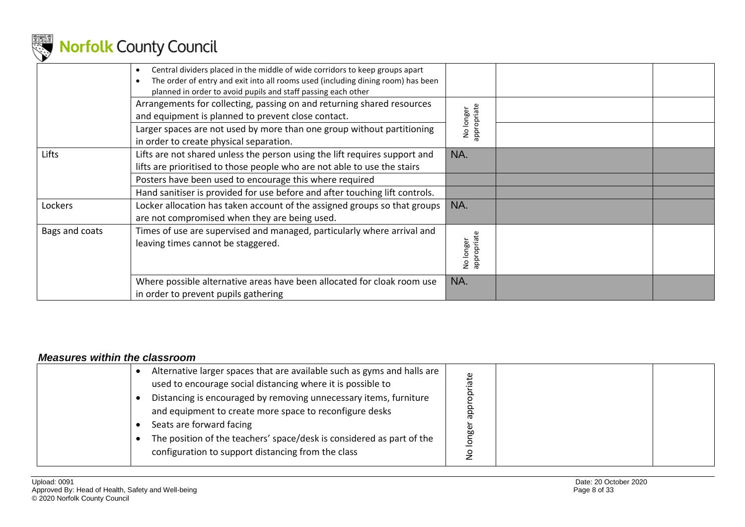

|                | Central dividers placed in the middle of wide corridors to keep groups apart<br>The order of entry and exit into all rooms used (including dining room) has been<br>planned in order to avoid pupils and staff passing each other |                          |  |
|----------------|-----------------------------------------------------------------------------------------------------------------------------------------------------------------------------------------------------------------------------------|--------------------------|--|
|                | Arrangements for collecting, passing on and returning shared resources<br>and equipment is planned to prevent close contact.                                                                                                      | appropriate<br>longer    |  |
|                | Larger spaces are not used by more than one group without partitioning<br>in order to create physical separation.                                                                                                                 | ş                        |  |
| Lifts          | Lifts are not shared unless the person using the lift requires support and<br>lifts are prioritised to those people who are not able to use the stairs                                                                            | NA.                      |  |
|                | Posters have been used to encourage this where required<br>Hand sanitiser is provided for use before and after touching lift controls.                                                                                            |                          |  |
| Lockers        | Locker allocation has taken account of the assigned groups so that groups<br>are not compromised when they are being used.                                                                                                        | NA.                      |  |
| Bags and coats | Times of use are supervised and managed, particularly where arrival and<br>leaving times cannot be staggered.                                                                                                                     | appropriate<br>No longer |  |
|                | Where possible alternative areas have been allocated for cloak room use<br>in order to prevent pupils gathering                                                                                                                   | NA.                      |  |

#### *Measures within the classroom*

<span id="page-7-0"></span>

| Alternative larger spaces that are available such as gyms and halls are<br>used to encourage social distancing where it is possible to<br>Distancing is encouraged by removing unnecessary items, furniture<br>and equipment to create more space to reconfigure desks |  |  |
|------------------------------------------------------------------------------------------------------------------------------------------------------------------------------------------------------------------------------------------------------------------------|--|--|
| Seats are forward facing<br>The position of the teachers' space/desk is considered as part of the<br>configuration to support distancing from the class                                                                                                                |  |  |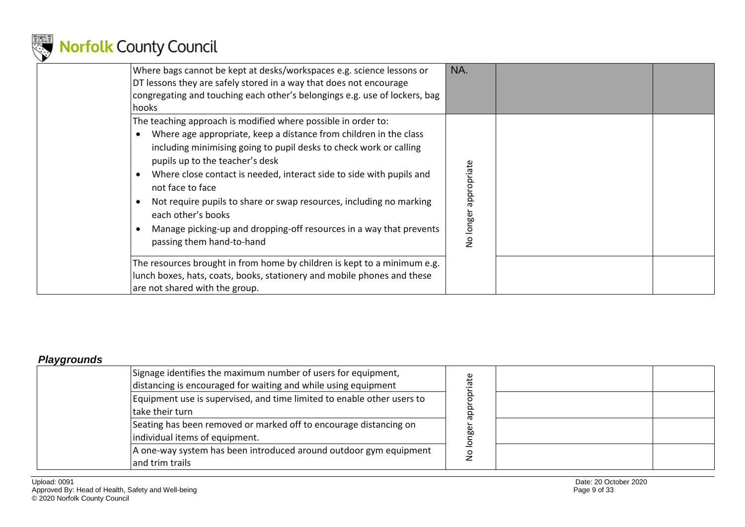

| Where bags cannot be kept at desks/workspaces e.g. science lessons or<br>DT lessons they are safely stored in a way that does not encourage<br>congregating and touching each other's belongings e.g. use of lockers, bag<br>hooks                                                                                                                                                                                                                                                                                                                                                                                                                          | NA.                      |
|-------------------------------------------------------------------------------------------------------------------------------------------------------------------------------------------------------------------------------------------------------------------------------------------------------------------------------------------------------------------------------------------------------------------------------------------------------------------------------------------------------------------------------------------------------------------------------------------------------------------------------------------------------------|--------------------------|
| The teaching approach is modified where possible in order to:<br>Where age appropriate, keep a distance from children in the class<br>$\bullet$<br>including minimising going to pupil desks to check work or calling<br>pupils up to the teacher's desk<br>Where close contact is needed, interact side to side with pupils and<br>$\bullet$<br>not face to face<br>Not require pupils to share or swap resources, including no marking<br>$\bullet$<br>each other's books<br>Manage picking-up and dropping-off resources in a way that prevents<br>passing them hand-to-hand<br>The resources brought in from home by children is kept to a minimum e.g. | appropriate<br>No longer |
| lunch boxes, hats, coats, books, stationery and mobile phones and these<br>are not shared with the group.                                                                                                                                                                                                                                                                                                                                                                                                                                                                                                                                                   |                          |

#### *Playgrounds*

<span id="page-8-0"></span>

| Signage identifies the maximum number of users for equipment,<br>distancing is encouraged for waiting and while using equipment | Φ       |  |
|---------------------------------------------------------------------------------------------------------------------------------|---------|--|
| Equipment use is supervised, and time limited to enable other users to<br>take their turn                                       |         |  |
| Seating has been removed or marked off to encourage distancing on<br>individual items of equipment.                             | ω<br>b۵ |  |
| A one-way system has been introduced around outdoor gym equipment<br>and trim trails                                            |         |  |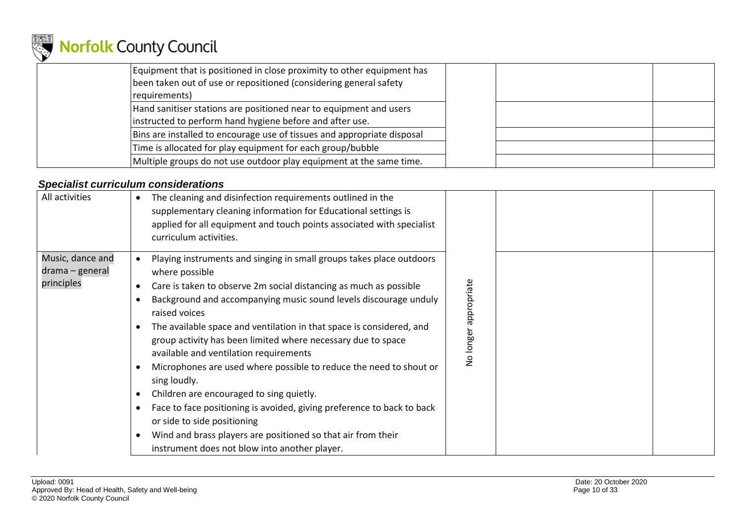

| Equipment that is positioned in close proximity to other equipment has<br>been taken out of use or repositioned (considering general safety<br>requirements) |  |  |
|--------------------------------------------------------------------------------------------------------------------------------------------------------------|--|--|
| Hand sanitiser stations are positioned near to equipment and users<br>instructed to perform hand hygiene before and after use.                               |  |  |
| Bins are installed to encourage use of tissues and appropriate disposal                                                                                      |  |  |
| Time is allocated for play equipment for each group/bubble                                                                                                   |  |  |
| Multiple groups do not use outdoor play equipment at the same time.                                                                                          |  |  |

### *Specialist curriculum considerations*

<span id="page-9-0"></span>

| All activities                                    | The cleaning and disinfection requirements outlined in the<br>supplementary cleaning information for Educational settings is<br>applied for all equipment and touch points associated with specialist<br>curriculum activities.                                                                                                                                                                                                                                                                                                                                                                                                                                                                                                                                                                |                         |  |
|---------------------------------------------------|------------------------------------------------------------------------------------------------------------------------------------------------------------------------------------------------------------------------------------------------------------------------------------------------------------------------------------------------------------------------------------------------------------------------------------------------------------------------------------------------------------------------------------------------------------------------------------------------------------------------------------------------------------------------------------------------------------------------------------------------------------------------------------------------|-------------------------|--|
| Music, dance and<br>drama – general<br>principles | Playing instruments and singing in small groups takes place outdoors<br>where possible<br>Care is taken to observe 2m social distancing as much as possible<br>Background and accompanying music sound levels discourage unduly<br>raised voices<br>The available space and ventilation in that space is considered, and<br>group activity has been limited where necessary due to space<br>available and ventilation requirements<br>Microphones are used where possible to reduce the need to shout or<br>sing loudly.<br>Children are encouraged to sing quietly.<br>Face to face positioning is avoided, giving preference to back to back<br>or side to side positioning<br>Wind and brass players are positioned so that air from their<br>instrument does not blow into another player. | appropriate<br>No longe |  |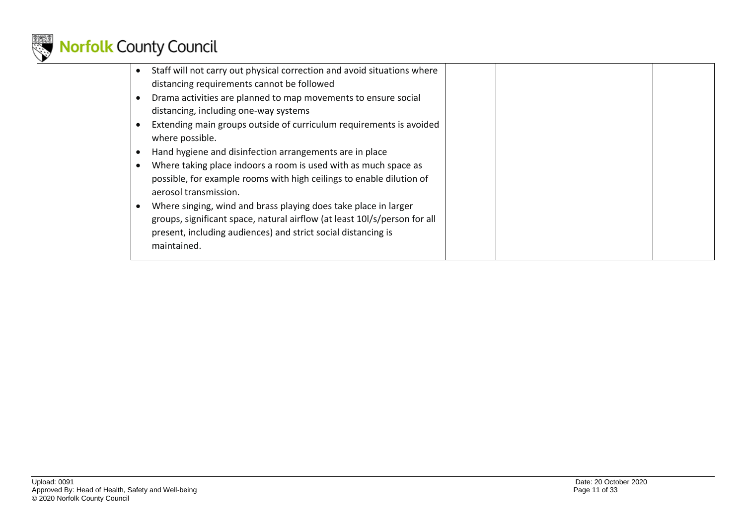

| Staff will not carry out physical correction and avoid situations where<br>distancing requirements cannot be followed |  |  |
|-----------------------------------------------------------------------------------------------------------------------|--|--|
| Drama activities are planned to map movements to ensure social                                                        |  |  |
| distancing, including one-way systems                                                                                 |  |  |
| Extending main groups outside of curriculum requirements is avoided                                                   |  |  |
| where possible.                                                                                                       |  |  |
| Hand hygiene and disinfection arrangements are in place                                                               |  |  |
| Where taking place indoors a room is used with as much space as                                                       |  |  |
| possible, for example rooms with high ceilings to enable dilution of                                                  |  |  |
| aerosol transmission.                                                                                                 |  |  |
| Where singing, wind and brass playing does take place in larger                                                       |  |  |
| groups, significant space, natural airflow (at least 101/s/person for all                                             |  |  |
| present, including audiences) and strict social distancing is                                                         |  |  |
| maintained.                                                                                                           |  |  |
|                                                                                                                       |  |  |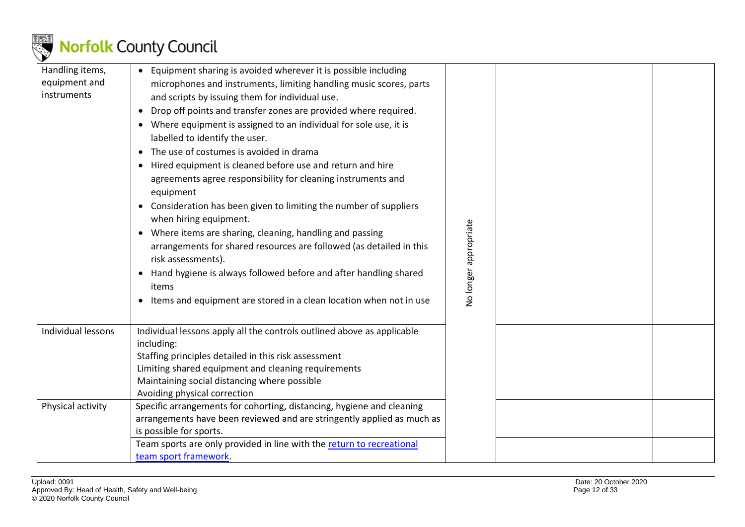

| Handling items,<br>equipment and<br>instruments | • Equipment sharing is avoided wherever it is possible including<br>microphones and instruments, limiting handling music scores, parts<br>and scripts by issuing them for individual use.<br>Drop off points and transfer zones are provided where required.<br>• Where equipment is assigned to an individual for sole use, it is<br>labelled to identify the user.<br>• The use of costumes is avoided in drama<br>• Hired equipment is cleaned before use and return and hire<br>agreements agree responsibility for cleaning instruments and<br>equipment<br>• Consideration has been given to limiting the number of suppliers<br>when hiring equipment.<br>• Where items are sharing, cleaning, handling and passing<br>arrangements for shared resources are followed (as detailed in this<br>risk assessments).<br>Hand hygiene is always followed before and after handling shared<br>items<br>• Items and equipment are stored in a clean location when not in use | No longer appropriate |  |
|-------------------------------------------------|------------------------------------------------------------------------------------------------------------------------------------------------------------------------------------------------------------------------------------------------------------------------------------------------------------------------------------------------------------------------------------------------------------------------------------------------------------------------------------------------------------------------------------------------------------------------------------------------------------------------------------------------------------------------------------------------------------------------------------------------------------------------------------------------------------------------------------------------------------------------------------------------------------------------------------------------------------------------------|-----------------------|--|
| Individual lessons                              | Individual lessons apply all the controls outlined above as applicable<br>including:<br>Staffing principles detailed in this risk assessment<br>Limiting shared equipment and cleaning requirements<br>Maintaining social distancing where possible<br>Avoiding physical correction                                                                                                                                                                                                                                                                                                                                                                                                                                                                                                                                                                                                                                                                                          |                       |  |
| Physical activity                               | Specific arrangements for cohorting, distancing, hygiene and cleaning<br>arrangements have been reviewed and are stringently applied as much as<br>is possible for sports.<br>Team sports are only provided in line with the return to recreational<br>team sport framework.                                                                                                                                                                                                                                                                                                                                                                                                                                                                                                                                                                                                                                                                                                 |                       |  |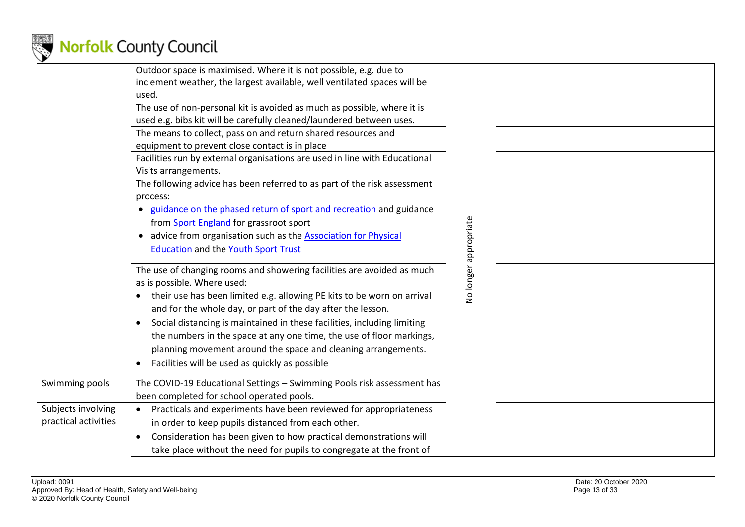

|                                            | Outdoor space is maximised. Where it is not possible, e.g. due to<br>inclement weather, the largest available, well ventilated spaces will be<br>used.<br>The use of non-personal kit is avoided as much as possible, where it is<br>used e.g. bibs kit will be carefully cleaned/laundered between uses.<br>The means to collect, pass on and return shared resources and<br>equipment to prevent close contact is in place<br>Facilities run by external organisations are used in line with Educational<br>Visits arrangements.<br>The following advice has been referred to as part of the risk assessment<br>process:<br>guidance on the phased return of sport and recreation and guidance |                       |  |
|--------------------------------------------|--------------------------------------------------------------------------------------------------------------------------------------------------------------------------------------------------------------------------------------------------------------------------------------------------------------------------------------------------------------------------------------------------------------------------------------------------------------------------------------------------------------------------------------------------------------------------------------------------------------------------------------------------------------------------------------------------|-----------------------|--|
|                                            | from Sport England for grassroot sport<br>advice from organisation such as the <b>Association for Physical</b><br><b>Education and the Youth Sport Trust</b>                                                                                                                                                                                                                                                                                                                                                                                                                                                                                                                                     | No longer appropriate |  |
|                                            | The use of changing rooms and showering facilities are avoided as much<br>as is possible. Where used:<br>their use has been limited e.g. allowing PE kits to be worn on arrival<br>٠<br>and for the whole day, or part of the day after the lesson.<br>Social distancing is maintained in these facilities, including limiting<br>$\bullet$<br>the numbers in the space at any one time, the use of floor markings,<br>planning movement around the space and cleaning arrangements.<br>Facilities will be used as quickly as possible                                                                                                                                                           |                       |  |
| Swimming pools                             | The COVID-19 Educational Settings - Swimming Pools risk assessment has<br>been completed for school operated pools.                                                                                                                                                                                                                                                                                                                                                                                                                                                                                                                                                                              |                       |  |
| Subjects involving<br>practical activities | Practicals and experiments have been reviewed for appropriateness<br>in order to keep pupils distanced from each other.<br>Consideration has been given to how practical demonstrations will<br>$\bullet$<br>take place without the need for pupils to congregate at the front of                                                                                                                                                                                                                                                                                                                                                                                                                |                       |  |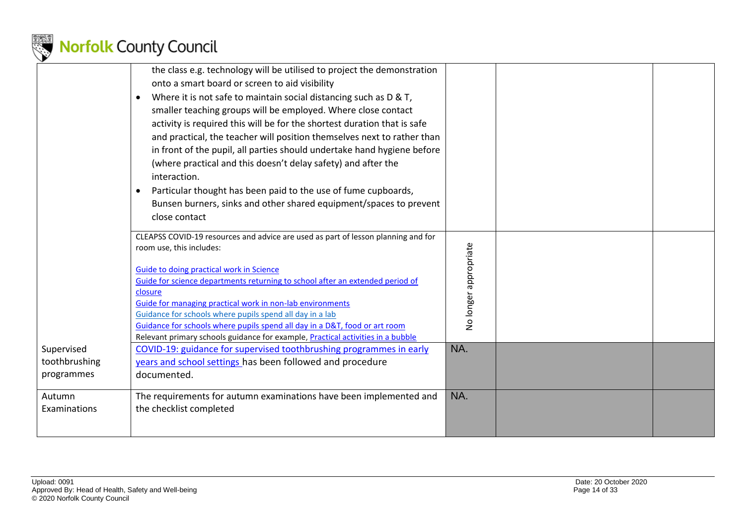

|                                           | the class e.g. technology will be utilised to project the demonstration<br>onto a smart board or screen to aid visibility<br>Where it is not safe to maintain social distancing such as D & T,<br>smaller teaching groups will be employed. Where close contact<br>activity is required this will be for the shortest duration that is safe<br>and practical, the teacher will position themselves next to rather than<br>in front of the pupil, all parties should undertake hand hygiene before<br>(where practical and this doesn't delay safety) and after the<br>interaction.<br>Particular thought has been paid to the use of fume cupboards,<br>$\bullet$<br>Bunsen burners, sinks and other shared equipment/spaces to prevent<br>close contact |                       |  |
|-------------------------------------------|----------------------------------------------------------------------------------------------------------------------------------------------------------------------------------------------------------------------------------------------------------------------------------------------------------------------------------------------------------------------------------------------------------------------------------------------------------------------------------------------------------------------------------------------------------------------------------------------------------------------------------------------------------------------------------------------------------------------------------------------------------|-----------------------|--|
|                                           | CLEAPSS COVID-19 resources and advice are used as part of lesson planning and for<br>room use, this includes:<br><b>Guide to doing practical work in Science</b><br>Guide for science departments returning to school after an extended period of<br>closure<br>Guide for managing practical work in non-lab environments<br>Guidance for schools where pupils spend all day in a lab<br>Guidance for schools where pupils spend all day in a D&T, food or art room<br>Relevant primary schools guidance for example, Practical activities in a bubble                                                                                                                                                                                                   | No longer appropriate |  |
| Supervised<br>toothbrushing<br>programmes | COVID-19: guidance for supervised toothbrushing programmes in early<br>years and school settings has been followed and procedure<br>documented.                                                                                                                                                                                                                                                                                                                                                                                                                                                                                                                                                                                                          | NA.                   |  |
| Autumn<br>Examinations                    | The requirements for autumn examinations have been implemented and<br>the checklist completed                                                                                                                                                                                                                                                                                                                                                                                                                                                                                                                                                                                                                                                            | NA.                   |  |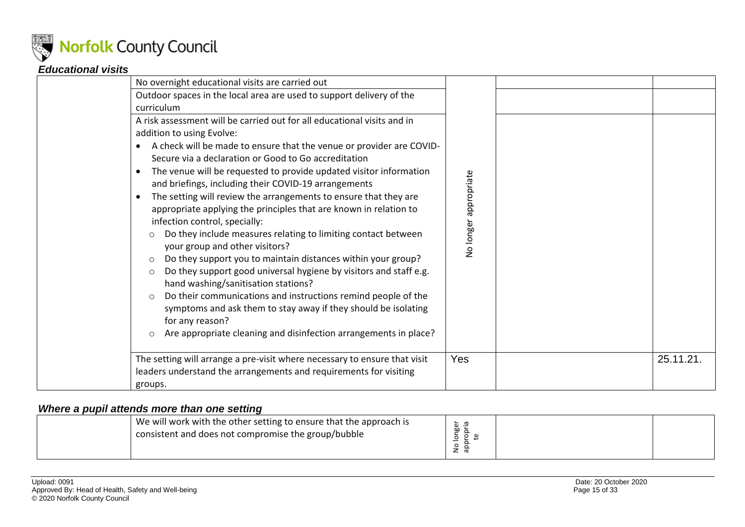

### *Educational visits*

| No overnight educational visits are carried out                                                                                                                                                                                                                                                                                                                                                                                                                                                                                                                                                                                                                                                                            |                       |           |
|----------------------------------------------------------------------------------------------------------------------------------------------------------------------------------------------------------------------------------------------------------------------------------------------------------------------------------------------------------------------------------------------------------------------------------------------------------------------------------------------------------------------------------------------------------------------------------------------------------------------------------------------------------------------------------------------------------------------------|-----------------------|-----------|
| Outdoor spaces in the local area are used to support delivery of the                                                                                                                                                                                                                                                                                                                                                                                                                                                                                                                                                                                                                                                       |                       |           |
| curriculum                                                                                                                                                                                                                                                                                                                                                                                                                                                                                                                                                                                                                                                                                                                 |                       |           |
| A risk assessment will be carried out for all educational visits and in<br>addition to using Evolve:<br>A check will be made to ensure that the venue or provider are COVID-<br>Secure via a declaration or Good to Go accreditation<br>The venue will be requested to provide updated visitor information<br>and briefings, including their COVID-19 arrangements<br>The setting will review the arrangements to ensure that they are<br>appropriate applying the principles that are known in relation to<br>infection control, specially:<br>Do they include measures relating to limiting contact between<br>$\circ$<br>your group and other visitors?<br>Do they support you to maintain distances within your group? | No longer appropriate |           |
| $\circ$<br>Do they support good universal hygiene by visitors and staff e.g.<br>$\circ$<br>hand washing/sanitisation stations?<br>Do their communications and instructions remind people of the<br>$\circ$<br>symptoms and ask them to stay away if they should be isolating<br>for any reason?<br>Are appropriate cleaning and disinfection arrangements in place?<br>$\circ$                                                                                                                                                                                                                                                                                                                                             |                       |           |
| The setting will arrange a pre-visit where necessary to ensure that visit<br>leaders understand the arrangements and requirements for visiting<br>groups.                                                                                                                                                                                                                                                                                                                                                                                                                                                                                                                                                                  | Yes                   | 25.11.21. |

#### <span id="page-14-0"></span>*Where a pupil attends more than one setting*

<span id="page-14-1"></span>

| We will work with the other setting to ensure that the approach is<br>consistent and does not compromise the group/bubble | ৳<br>60<br>ັ<br>ັ |  |  |
|---------------------------------------------------------------------------------------------------------------------------|-------------------|--|--|
|---------------------------------------------------------------------------------------------------------------------------|-------------------|--|--|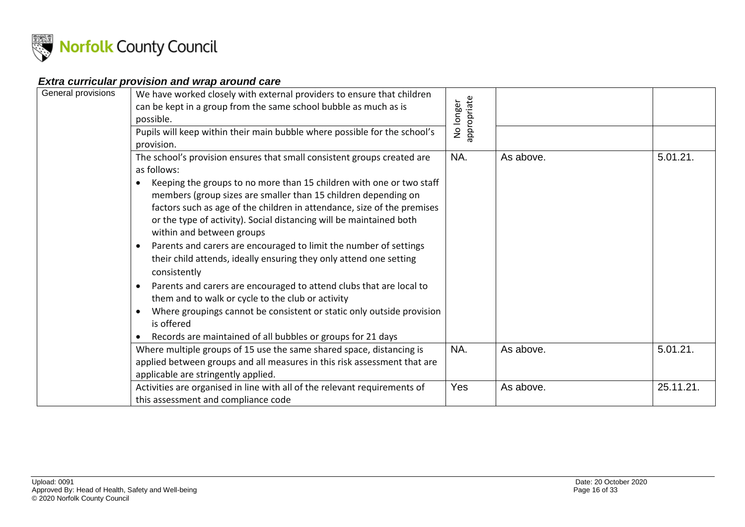

### *Extra curricular provision and wrap around care*

<span id="page-15-1"></span><span id="page-15-0"></span>

| General provisions | We have worked closely with external providers to ensure that children<br>can be kept in a group from the same school bubble as much as is<br>possible.<br>Pupils will keep within their main bubble where possible for the school's<br>provision.                                                                                                                                                                                                                                                                                                                                                                                                                                                                                                                                                                                                           | appropriate<br>No longer |                        |                      |
|--------------------|--------------------------------------------------------------------------------------------------------------------------------------------------------------------------------------------------------------------------------------------------------------------------------------------------------------------------------------------------------------------------------------------------------------------------------------------------------------------------------------------------------------------------------------------------------------------------------------------------------------------------------------------------------------------------------------------------------------------------------------------------------------------------------------------------------------------------------------------------------------|--------------------------|------------------------|----------------------|
|                    | The school's provision ensures that small consistent groups created are<br>as follows:<br>Keeping the groups to no more than 15 children with one or two staff<br>members (group sizes are smaller than 15 children depending on<br>factors such as age of the children in attendance, size of the premises<br>or the type of activity). Social distancing will be maintained both<br>within and between groups<br>Parents and carers are encouraged to limit the number of settings<br>their child attends, ideally ensuring they only attend one setting<br>consistently<br>Parents and carers are encouraged to attend clubs that are local to<br>them and to walk or cycle to the club or activity<br>Where groupings cannot be consistent or static only outside provision<br>is offered<br>Records are maintained of all bubbles or groups for 21 days | NA.<br>NA.               | As above.<br>As above. | 5.01.21.<br>5.01.21. |
|                    | Where multiple groups of 15 use the same shared space, distancing is<br>applied between groups and all measures in this risk assessment that are<br>applicable are stringently applied.                                                                                                                                                                                                                                                                                                                                                                                                                                                                                                                                                                                                                                                                      |                          |                        |                      |
|                    | Activities are organised in line with all of the relevant requirements of<br>this assessment and compliance code                                                                                                                                                                                                                                                                                                                                                                                                                                                                                                                                                                                                                                                                                                                                             | Yes                      | As above.              | 25.11.21.            |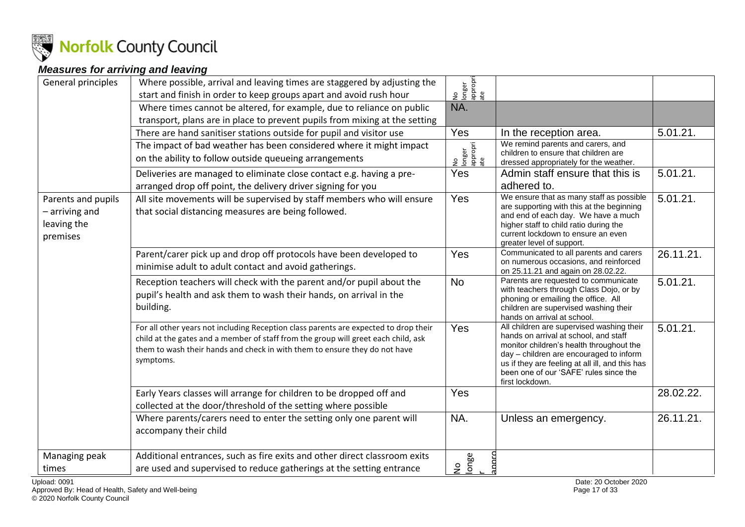

### *Measures for arriving and leaving*

| General principles | Where possible, arrival and leaving times are staggered by adjusting the                                                                                         | longer<br>appropri<br>ate |                                                                                            |           |
|--------------------|------------------------------------------------------------------------------------------------------------------------------------------------------------------|---------------------------|--------------------------------------------------------------------------------------------|-----------|
|                    | start and finish in order to keep groups apart and avoid rush hour                                                                                               | $\frac{1}{2}$             |                                                                                            |           |
|                    | Where times cannot be altered, for example, due to reliance on public                                                                                            | NA.                       |                                                                                            |           |
|                    | transport, plans are in place to prevent pupils from mixing at the setting                                                                                       |                           |                                                                                            |           |
|                    | There are hand sanitiser stations outside for pupil and visitor use                                                                                              | Yes                       | In the reception area.                                                                     | 5.01.21.  |
|                    | The impact of bad weather has been considered where it might impact                                                                                              | longer<br>appropri<br>ate | We remind parents and carers, and<br>children to ensure that children are                  |           |
|                    | on the ability to follow outside queueing arrangements                                                                                                           | 9                         | dressed appropriately for the weather.                                                     |           |
|                    | Deliveries are managed to eliminate close contact e.g. having a pre-                                                                                             | Yes                       | Admin staff ensure that this is                                                            | 5.01.21.  |
|                    | arranged drop off point, the delivery driver signing for you                                                                                                     |                           | adhered to.                                                                                |           |
| Parents and pupils | All site movements will be supervised by staff members who will ensure                                                                                           | Yes                       | We ensure that as many staff as possible                                                   | 5.01.21.  |
| - arriving and     | that social distancing measures are being followed.                                                                                                              |                           | are supporting with this at the beginning<br>and end of each day. We have a much           |           |
| leaving the        |                                                                                                                                                                  |                           | higher staff to child ratio during the                                                     |           |
| premises           |                                                                                                                                                                  |                           | current lockdown to ensure an even<br>greater level of support.                            |           |
|                    | Parent/carer pick up and drop off protocols have been developed to                                                                                               | Yes                       | Communicated to all parents and carers                                                     | 26.11.21. |
|                    | minimise adult to adult contact and avoid gatherings.                                                                                                            |                           | on numerous occasions, and reinforced<br>on 25.11.21 and again on 28.02.22.                |           |
|                    | Reception teachers will check with the parent and/or pupil about the                                                                                             | <b>No</b>                 | Parents are requested to communicate                                                       | 5.01.21.  |
|                    | pupil's health and ask them to wash their hands, on arrival in the                                                                                               |                           | with teachers through Class Dojo, or by<br>phoning or emailing the office. All             |           |
|                    | building.                                                                                                                                                        |                           | children are supervised washing their                                                      |           |
|                    |                                                                                                                                                                  |                           | hands on arrival at school.                                                                |           |
|                    | For all other years not including Reception class parents are expected to drop their                                                                             | Yes                       | All children are supervised washing their<br>hands on arrival at school, and staff         | 5.01.21.  |
|                    | child at the gates and a member of staff from the group will greet each child, ask<br>them to wash their hands and check in with them to ensure they do not have |                           | monitor children's health throughout the                                                   |           |
|                    | symptoms.                                                                                                                                                        |                           | day - children are encouraged to inform<br>us if they are feeling at all ill, and this has |           |
|                    |                                                                                                                                                                  |                           | been one of our 'SAFE' rules since the                                                     |           |
|                    |                                                                                                                                                                  |                           | first lockdown.                                                                            |           |
|                    | Early Years classes will arrange for children to be dropped off and                                                                                              | Yes                       |                                                                                            | 28.02.22. |
|                    | collected at the door/threshold of the setting where possible                                                                                                    |                           |                                                                                            |           |
|                    | Where parents/carers need to enter the setting only one parent will                                                                                              | NA.                       | Unless an emergency.                                                                       | 26.11.21. |
|                    | accompany their child                                                                                                                                            |                           |                                                                                            |           |
|                    |                                                                                                                                                                  |                           |                                                                                            |           |
| Managing peak      | Additional entrances, such as fire exits and other direct classroom exits                                                                                        | No<br>Ionge               |                                                                                            |           |
| times              | are used and supervised to reduce gatherings at the setting entrance                                                                                             |                           |                                                                                            |           |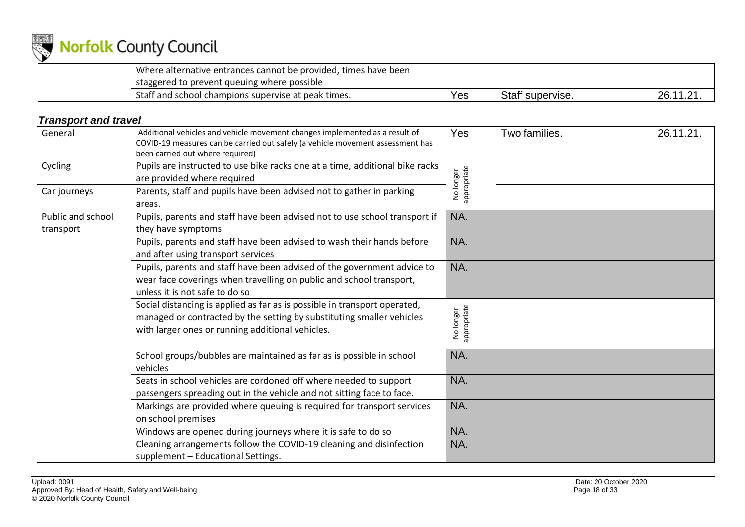

| Where alternative entrances cannot be provided, times have been |     |                  |                   |
|-----------------------------------------------------------------|-----|------------------|-------------------|
| staggered to prevent queuing where possible                     |     |                  |                   |
| Staff and school champions supervise at peak times.             | Yes | Staff supervise. | 1101<br>26.1<br>. |

### *Transport and travel*

<span id="page-17-0"></span>

| General                        | Additional vehicles and vehicle movement changes implemented as a result of<br>COVID-19 measures can be carried out safely (a vehicle movement assessment has<br>been carried out where required)      | <b>Yes</b>               | Two families. | 26.11.21. |
|--------------------------------|--------------------------------------------------------------------------------------------------------------------------------------------------------------------------------------------------------|--------------------------|---------------|-----------|
| Cycling                        | Pupils are instructed to use bike racks one at a time, additional bike racks<br>are provided where required                                                                                            | No longer<br>appropriate |               |           |
| Car journeys                   | Parents, staff and pupils have been advised not to gather in parking<br>areas.                                                                                                                         |                          |               |           |
| Public and school<br>transport | Pupils, parents and staff have been advised not to use school transport if<br>they have symptoms                                                                                                       | NA.                      |               |           |
|                                | Pupils, parents and staff have been advised to wash their hands before<br>and after using transport services                                                                                           | NA.                      |               |           |
|                                | Pupils, parents and staff have been advised of the government advice to<br>wear face coverings when travelling on public and school transport,<br>unless it is not safe to do so                       | NA.                      |               |           |
|                                | Social distancing is applied as far as is possible in transport operated,<br>managed or contracted by the setting by substituting smaller vehicles<br>with larger ones or running additional vehicles. | No longer<br>appropriate |               |           |
|                                | School groups/bubbles are maintained as far as is possible in school<br>vehicles                                                                                                                       | NA.                      |               |           |
|                                | Seats in school vehicles are cordoned off where needed to support<br>passengers spreading out in the vehicle and not sitting face to face.                                                             | NA.                      |               |           |
|                                | Markings are provided where queuing is required for transport services<br>on school premises                                                                                                           | NA.                      |               |           |
|                                | Windows are opened during journeys where it is safe to do so                                                                                                                                           | NA.                      |               |           |
|                                | Cleaning arrangements follow the COVID-19 cleaning and disinfection<br>supplement - Educational Settings.                                                                                              | NA.                      |               |           |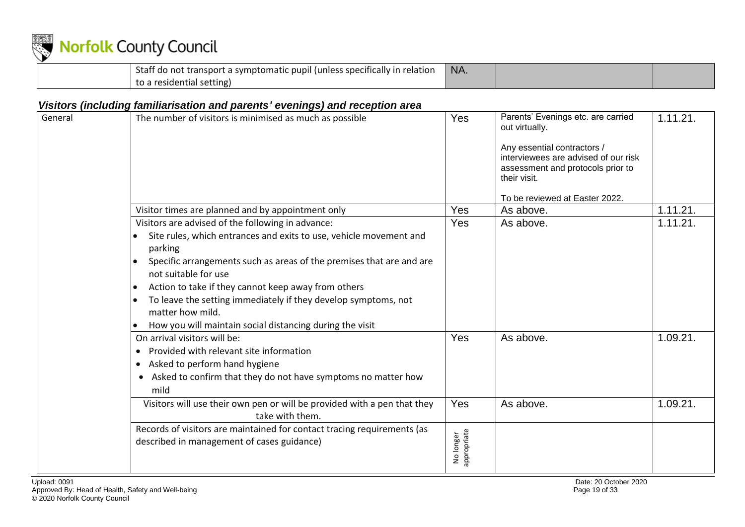

| Staff do not transport a symptomatic pupil (unless specifically in relation | NA. |  |
|-----------------------------------------------------------------------------|-----|--|
| to a residential setting)                                                   |     |  |

### *Visitors (including familiarisation and parents' evenings) and reception area*

<span id="page-18-0"></span>

| General | The number of visitors is minimised as much as possible                                                                                                                                                                                                                                                                                                                                                                                     | Yes                      | Parents' Evenings etc. are carried<br>out virtually.<br>Any essential contractors /<br>interviewees are advised of our risk<br>assessment and protocols prior to<br>their visit.<br>To be reviewed at Easter 2022. | 1.11.21. |
|---------|---------------------------------------------------------------------------------------------------------------------------------------------------------------------------------------------------------------------------------------------------------------------------------------------------------------------------------------------------------------------------------------------------------------------------------------------|--------------------------|--------------------------------------------------------------------------------------------------------------------------------------------------------------------------------------------------------------------|----------|
|         | Visitor times are planned and by appointment only                                                                                                                                                                                                                                                                                                                                                                                           | Yes                      | As above.                                                                                                                                                                                                          | 1.11.21. |
|         | Visitors are advised of the following in advance:<br>Site rules, which entrances and exits to use, vehicle movement and<br>parking<br>Specific arrangements such as areas of the premises that are and are<br>not suitable for use<br>Action to take if they cannot keep away from others<br>To leave the setting immediately if they develop symptoms, not<br>matter how mild.<br>How you will maintain social distancing during the visit | Yes                      | As above.                                                                                                                                                                                                          | 1.11.21. |
|         | On arrival visitors will be:<br>Provided with relevant site information<br>Asked to perform hand hygiene<br>$\bullet$<br>Asked to confirm that they do not have symptoms no matter how<br>$\bullet$<br>mild                                                                                                                                                                                                                                 | Yes                      | As above.                                                                                                                                                                                                          | 1.09.21. |
|         | Visitors will use their own pen or will be provided with a pen that they<br>take with them.                                                                                                                                                                                                                                                                                                                                                 | Yes                      | As above.                                                                                                                                                                                                          | 1.09.21. |
|         | Records of visitors are maintained for contact tracing requirements (as<br>described in management of cases guidance)                                                                                                                                                                                                                                                                                                                       | No longer<br>appropriate |                                                                                                                                                                                                                    |          |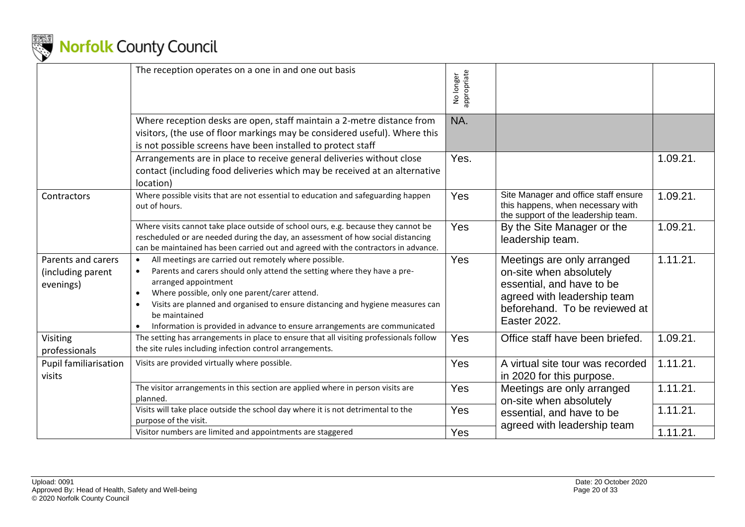

|                                                      | The reception operates on a one in and one out basis                                                                                                                                                                                                                                                                                                                                        | No longer<br>appropriate |                                                                                                                                                                    |          |
|------------------------------------------------------|---------------------------------------------------------------------------------------------------------------------------------------------------------------------------------------------------------------------------------------------------------------------------------------------------------------------------------------------------------------------------------------------|--------------------------|--------------------------------------------------------------------------------------------------------------------------------------------------------------------|----------|
|                                                      | Where reception desks are open, staff maintain a 2-metre distance from<br>visitors, (the use of floor markings may be considered useful). Where this<br>is not possible screens have been installed to protect staff                                                                                                                                                                        | NA.                      |                                                                                                                                                                    |          |
|                                                      | Arrangements are in place to receive general deliveries without close<br>contact (including food deliveries which may be received at an alternative<br>location)                                                                                                                                                                                                                            | Yes.                     |                                                                                                                                                                    | 1.09.21. |
| Contractors                                          | Where possible visits that are not essential to education and safeguarding happen<br>out of hours.                                                                                                                                                                                                                                                                                          | Yes                      | Site Manager and office staff ensure<br>this happens, when necessary with<br>the support of the leadership team.                                                   | 1.09.21. |
|                                                      | Where visits cannot take place outside of school ours, e.g. because they cannot be<br>rescheduled or are needed during the day, an assessment of how social distancing<br>can be maintained has been carried out and agreed with the contractors in advance.                                                                                                                                | Yes                      | By the Site Manager or the<br>leadership team.                                                                                                                     | 1.09.21. |
| Parents and carers<br>(including parent<br>evenings) | All meetings are carried out remotely where possible.<br>Parents and carers should only attend the setting where they have a pre-<br>arranged appointment<br>Where possible, only one parent/carer attend.<br>Visits are planned and organised to ensure distancing and hygiene measures can<br>be maintained<br>Information is provided in advance to ensure arrangements are communicated | Yes                      | Meetings are only arranged<br>on-site when absolutely<br>essential, and have to be<br>agreed with leadership team<br>beforehand. To be reviewed at<br>Easter 2022. | 1.11.21. |
| Visiting<br>professionals                            | The setting has arrangements in place to ensure that all visiting professionals follow<br>the site rules including infection control arrangements.                                                                                                                                                                                                                                          | Yes                      | Office staff have been briefed.                                                                                                                                    | 1.09.21. |
| Pupil familiarisation<br>visits                      | Visits are provided virtually where possible.                                                                                                                                                                                                                                                                                                                                               | Yes                      | A virtual site tour was recorded<br>in 2020 for this purpose.                                                                                                      | 1.11.21. |
|                                                      | The visitor arrangements in this section are applied where in person visits are<br>planned.                                                                                                                                                                                                                                                                                                 | Yes                      | Meetings are only arranged<br>on-site when absolutely                                                                                                              | 1.11.21. |
|                                                      | Visits will take place outside the school day where it is not detrimental to the<br>purpose of the visit.                                                                                                                                                                                                                                                                                   | Yes                      | essential, and have to be<br>agreed with leadership team                                                                                                           | 1.11.21. |
|                                                      | Visitor numbers are limited and appointments are staggered                                                                                                                                                                                                                                                                                                                                  | Yes                      |                                                                                                                                                                    | 1.11.21. |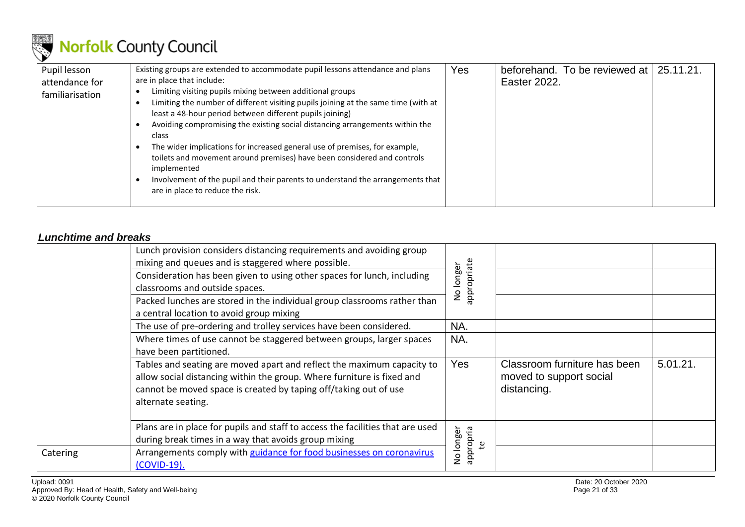

| Pupil lesson<br>attendance for<br>familiarisation | Existing groups are extended to accommodate pupil lessons attendance and plans<br>are in place that include:<br>Limiting visiting pupils mixing between additional groups<br>Limiting the number of different visiting pupils joining at the same time (with at<br>least a 48-hour period between different pupils joining)<br>Avoiding compromising the existing social distancing arrangements within the<br>class<br>The wider implications for increased general use of premises, for example,<br>toilets and movement around premises) have been considered and controls<br>implemented | Yes | beforehand. To be reviewed at 25.11.21.<br>Easter 2022. |  |
|---------------------------------------------------|----------------------------------------------------------------------------------------------------------------------------------------------------------------------------------------------------------------------------------------------------------------------------------------------------------------------------------------------------------------------------------------------------------------------------------------------------------------------------------------------------------------------------------------------------------------------------------------------|-----|---------------------------------------------------------|--|
|                                                   | Involvement of the pupil and their parents to understand the arrangements that<br>are in place to reduce the risk.                                                                                                                                                                                                                                                                                                                                                                                                                                                                           |     |                                                         |  |

#### *Lunchtime and breaks*

<span id="page-20-0"></span>

|          | Lunch provision considers distancing requirements and avoiding group<br>mixing and queues and is staggered where possible.                                                                                                                 |                             |                                                                        |          |
|----------|--------------------------------------------------------------------------------------------------------------------------------------------------------------------------------------------------------------------------------------------|-----------------------------|------------------------------------------------------------------------|----------|
|          | Consideration has been given to using other spaces for lunch, including<br>classrooms and outside spaces.                                                                                                                                  | appropriate<br>No longer    |                                                                        |          |
|          | Packed lunches are stored in the individual group classrooms rather than<br>a central location to avoid group mixing                                                                                                                       |                             |                                                                        |          |
|          | The use of pre-ordering and trolley services have been considered.                                                                                                                                                                         | NA.                         |                                                                        |          |
|          | Where times of use cannot be staggered between groups, larger spaces<br>have been partitioned.                                                                                                                                             | NA.                         |                                                                        |          |
|          | Tables and seating are moved apart and reflect the maximum capacity to<br>allow social distancing within the group. Where furniture is fixed and<br>cannot be moved space is created by taping off/taking out of use<br>alternate seating. | Yes                         | Classroom furniture has been<br>moved to support social<br>distancing. | 5.01.21. |
|          | Plans are in place for pupils and staff to access the facilities that are used<br>during break times in a way that avoids group mixing                                                                                                     | No longer<br>appropria<br>ஐ |                                                                        |          |
| Catering | Arrangements comply with guidance for food businesses on coronavirus<br>(COVID-19).                                                                                                                                                        |                             |                                                                        |          |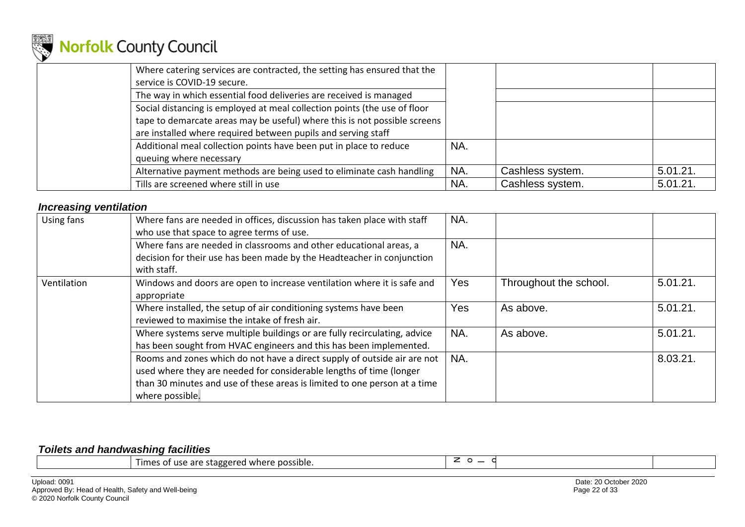

| Where catering services are contracted, the setting has ensured that the<br>service is COVID-19 secure. |     |                  |          |
|---------------------------------------------------------------------------------------------------------|-----|------------------|----------|
| The way in which essential food deliveries are received is managed                                      |     |                  |          |
| Social distancing is employed at meal collection points (the use of floor                               |     |                  |          |
| tape to demarcate areas may be useful) where this is not possible screens                               |     |                  |          |
| are installed where required between pupils and serving staff                                           |     |                  |          |
| Additional meal collection points have been put in place to reduce                                      | NA. |                  |          |
| queuing where necessary                                                                                 |     |                  |          |
| Alternative payment methods are being used to eliminate cash handling                                   | NA. | Cashless system. | 5.01.21. |
| Tills are screened where still in use                                                                   | NA. | Cashless system. | 5.01.21. |

#### *Increasing ventilation*

| Using fans  | Where fans are needed in offices, discussion has taken place with staff<br>who use that space to agree terms of use.                                                                                                                            | NA.        |                        |          |
|-------------|-------------------------------------------------------------------------------------------------------------------------------------------------------------------------------------------------------------------------------------------------|------------|------------------------|----------|
|             | Where fans are needed in classrooms and other educational areas, a<br>decision for their use has been made by the Headteacher in conjunction<br>with staff.                                                                                     | NA.        |                        |          |
| Ventilation | Windows and doors are open to increase ventilation where it is safe and<br>appropriate                                                                                                                                                          | <b>Yes</b> | Throughout the school. | 5.01.21. |
|             | Where installed, the setup of air conditioning systems have been<br>reviewed to maximise the intake of fresh air.                                                                                                                               | Yes        | As above.              | 5.01.21. |
|             | Where systems serve multiple buildings or are fully recirculating, advice<br>has been sought from HVAC engineers and this has been implemented.                                                                                                 | NA.        | As above.              | 5.01.21. |
|             | Rooms and zones which do not have a direct supply of outside air are not<br>used where they are needed for considerable lengths of time (longer<br>than 30 minutes and use of these areas is limited to one person at a time<br>where possible. | NA.        |                        | 8.03.21  |

#### <span id="page-21-1"></span><span id="page-21-0"></span>*Toilets and handwashing facilities*

| <b>Times</b><br>s of use are staggered where possible. |  |  |
|--------------------------------------------------------|--|--|
|--------------------------------------------------------|--|--|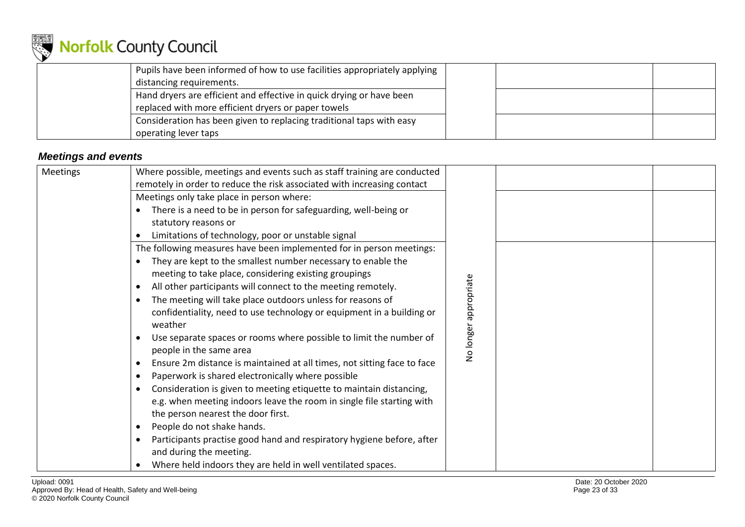

| Pupils have been informed of how to use facilities appropriately applying |  |  |
|---------------------------------------------------------------------------|--|--|
| distancing requirements.                                                  |  |  |
| Hand dryers are efficient and effective in quick drying or have been      |  |  |
| replaced with more efficient dryers or paper towels                       |  |  |
| Consideration has been given to replacing traditional taps with easy      |  |  |
| operating lever taps                                                      |  |  |

### *Meetings and events*

<span id="page-22-0"></span>

| Meetings | Where possible, meetings and events such as staff training are conducted<br>remotely in order to reduce the risk associated with increasing contact |                 |  |
|----------|-----------------------------------------------------------------------------------------------------------------------------------------------------|-----------------|--|
|          | Meetings only take place in person where:                                                                                                           |                 |  |
|          | There is a need to be in person for safeguarding, well-being or<br>$\bullet$                                                                        |                 |  |
|          | statutory reasons or                                                                                                                                |                 |  |
|          | Limitations of technology, poor or unstable signal                                                                                                  |                 |  |
|          | The following measures have been implemented for in person meetings:                                                                                |                 |  |
|          | They are kept to the smallest number necessary to enable the                                                                                        |                 |  |
|          | meeting to take place, considering existing groupings                                                                                               |                 |  |
|          | All other participants will connect to the meeting remotely.<br>$\bullet$                                                                           |                 |  |
|          | The meeting will take place outdoors unless for reasons of<br>$\bullet$                                                                             |                 |  |
|          | confidentiality, need to use technology or equipment in a building or<br>weather                                                                    | appropriate     |  |
|          | Use separate spaces or rooms where possible to limit the number of<br>$\bullet$<br>people in the same area                                          | <b>Volonger</b> |  |
|          | Ensure 2m distance is maintained at all times, not sitting face to face<br>$\bullet$                                                                |                 |  |
|          | Paperwork is shared electronically where possible<br>$\bullet$                                                                                      |                 |  |
|          | Consideration is given to meeting etiquette to maintain distancing,<br>$\bullet$                                                                    |                 |  |
|          | e.g. when meeting indoors leave the room in single file starting with                                                                               |                 |  |
|          | the person nearest the door first.                                                                                                                  |                 |  |
|          | People do not shake hands.<br>$\bullet$                                                                                                             |                 |  |
|          | Participants practise good hand and respiratory hygiene before, after<br>$\bullet$                                                                  |                 |  |
|          | and during the meeting.                                                                                                                             |                 |  |
|          | Where held indoors they are held in well ventilated spaces.<br>$\bullet$                                                                            |                 |  |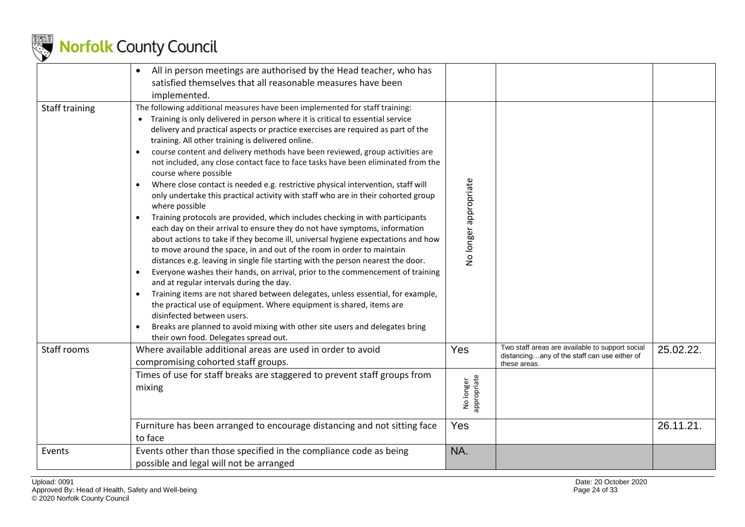

|                | All in person meetings are authorised by the Head teacher, who has<br>$\bullet$<br>satisfied themselves that all reasonable measures have been<br>implemented.                                                                                                                                                                                                                                                                                                                                                                                                                                                                                                                                                                                                                                                                                                                                                                                                                                                                                                                                                                                                                                                                                                                                                                                                                                                                                                                                                                                                                                        |                          |                                                                                                                 |           |
|----------------|-------------------------------------------------------------------------------------------------------------------------------------------------------------------------------------------------------------------------------------------------------------------------------------------------------------------------------------------------------------------------------------------------------------------------------------------------------------------------------------------------------------------------------------------------------------------------------------------------------------------------------------------------------------------------------------------------------------------------------------------------------------------------------------------------------------------------------------------------------------------------------------------------------------------------------------------------------------------------------------------------------------------------------------------------------------------------------------------------------------------------------------------------------------------------------------------------------------------------------------------------------------------------------------------------------------------------------------------------------------------------------------------------------------------------------------------------------------------------------------------------------------------------------------------------------------------------------------------------------|--------------------------|-----------------------------------------------------------------------------------------------------------------|-----------|
| Staff training | The following additional measures have been implemented for staff training:<br>Training is only delivered in person where it is critical to essential service<br>delivery and practical aspects or practice exercises are required as part of the<br>training. All other training is delivered online.<br>course content and delivery methods have been reviewed, group activities are<br>not included, any close contact face to face tasks have been eliminated from the<br>course where possible<br>Where close contact is needed e.g. restrictive physical intervention, staff will<br>only undertake this practical activity with staff who are in their cohorted group<br>where possible<br>Training protocols are provided, which includes checking in with participants<br>$\bullet$<br>each day on their arrival to ensure they do not have symptoms, information<br>about actions to take if they become ill, universal hygiene expectations and how<br>to move around the space, in and out of the room in order to maintain<br>distances e.g. leaving in single file starting with the person nearest the door.<br>Everyone washes their hands, on arrival, prior to the commencement of training<br>$\bullet$<br>and at regular intervals during the day.<br>Training items are not shared between delegates, unless essential, for example,<br>$\bullet$<br>the practical use of equipment. Where equipment is shared, items are<br>disinfected between users.<br>Breaks are planned to avoid mixing with other site users and delegates bring<br>their own food. Delegates spread out. | No longer appropriate    |                                                                                                                 |           |
| Staff rooms    | Where available additional areas are used in order to avoid<br>compromising cohorted staff groups.                                                                                                                                                                                                                                                                                                                                                                                                                                                                                                                                                                                                                                                                                                                                                                                                                                                                                                                                                                                                                                                                                                                                                                                                                                                                                                                                                                                                                                                                                                    | Yes                      | Two staff areas are available to support social<br>distancingany of the staff can use either of<br>these areas. | 25.02.22. |
|                | Times of use for staff breaks are staggered to prevent staff groups from<br>mixing                                                                                                                                                                                                                                                                                                                                                                                                                                                                                                                                                                                                                                                                                                                                                                                                                                                                                                                                                                                                                                                                                                                                                                                                                                                                                                                                                                                                                                                                                                                    | appropriate<br>No longer |                                                                                                                 |           |
|                | Furniture has been arranged to encourage distancing and not sitting face<br>to face                                                                                                                                                                                                                                                                                                                                                                                                                                                                                                                                                                                                                                                                                                                                                                                                                                                                                                                                                                                                                                                                                                                                                                                                                                                                                                                                                                                                                                                                                                                   | Yes                      |                                                                                                                 | 26.11.21. |
| Events         | Events other than those specified in the compliance code as being<br>possible and legal will not be arranged                                                                                                                                                                                                                                                                                                                                                                                                                                                                                                                                                                                                                                                                                                                                                                                                                                                                                                                                                                                                                                                                                                                                                                                                                                                                                                                                                                                                                                                                                          | NA.                      |                                                                                                                 |           |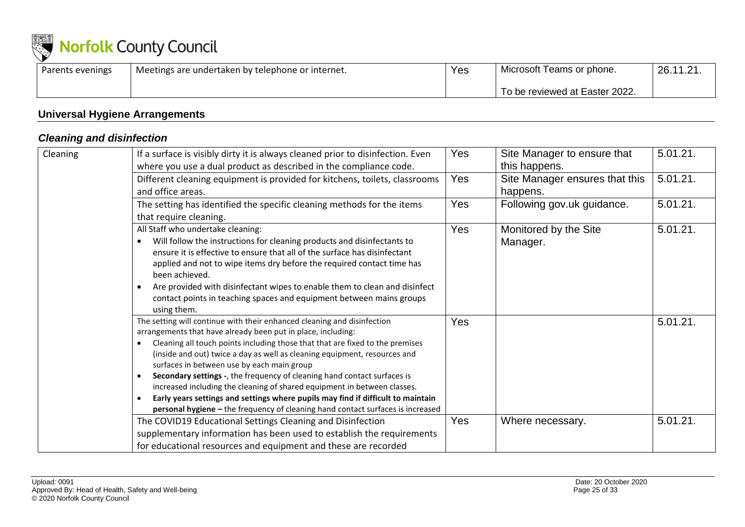

| Parents evenings | 'Meetings are undertaken by telephone or internet. | Yes | Microsoft Teams or phone.      | 26.11.21. |
|------------------|----------------------------------------------------|-----|--------------------------------|-----------|
|                  |                                                    |     | To be reviewed at Easter 2022. |           |

### **Universal Hygiene Arrangements**

### *Cleaning and disinfection*

<span id="page-24-1"></span><span id="page-24-0"></span>

| <b>Cleaning</b> | If a surface is visibly dirty it is always cleaned prior to disinfection. Even<br>where you use a dual product as described in the compliance code.                                                                                                                                                                                                                                                                                                                                                                                                                                                                                                                                             | <b>Yes</b> | Site Manager to ensure that<br>this happens. | 5.01.21. |
|-----------------|-------------------------------------------------------------------------------------------------------------------------------------------------------------------------------------------------------------------------------------------------------------------------------------------------------------------------------------------------------------------------------------------------------------------------------------------------------------------------------------------------------------------------------------------------------------------------------------------------------------------------------------------------------------------------------------------------|------------|----------------------------------------------|----------|
|                 | Different cleaning equipment is provided for kitchens, toilets, classrooms<br>and office areas.                                                                                                                                                                                                                                                                                                                                                                                                                                                                                                                                                                                                 | <b>Yes</b> | Site Manager ensures that this<br>happens.   | 5.01.21. |
|                 | The setting has identified the specific cleaning methods for the items<br>that require cleaning.                                                                                                                                                                                                                                                                                                                                                                                                                                                                                                                                                                                                | Yes        | Following gov.uk guidance.                   | 5.01.21. |
|                 | All Staff who undertake cleaning:<br>Will follow the instructions for cleaning products and disinfectants to<br>ensure it is effective to ensure that all of the surface has disinfectant<br>applied and not to wipe items dry before the required contact time has<br>been achieved.<br>Are provided with disinfectant wipes to enable them to clean and disinfect<br>contact points in teaching spaces and equipment between mains groups<br>using them.                                                                                                                                                                                                                                      | <b>Yes</b> | Monitored by the Site<br>Manager.            | 5.01.21. |
|                 | The setting will continue with their enhanced cleaning and disinfection<br>arrangements that have already been put in place, including:<br>Cleaning all touch points including those that that are fixed to the premises<br>(inside and out) twice a day as well as cleaning equipment, resources and<br>surfaces in between use by each main group<br>Secondary settings -, the frequency of cleaning hand contact surfaces is<br>$\bullet$<br>increased including the cleaning of shared equipment in between classes.<br>Early years settings and settings where pupils may find if difficult to maintain<br>personal hygiene - the frequency of cleaning hand contact surfaces is increased | Yes        |                                              | 5.01.21. |
|                 | The COVID19 Educational Settings Cleaning and Disinfection<br>supplementary information has been used to establish the requirements<br>for educational resources and equipment and these are recorded                                                                                                                                                                                                                                                                                                                                                                                                                                                                                           | Yes        | Where necessary.                             | 5.01.21. |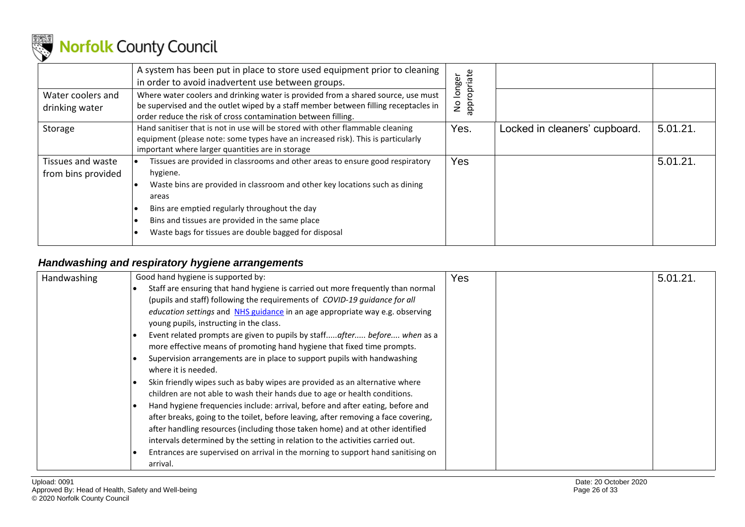

| Water coolers and<br>drinking water     | A system has been put in place to store used equipment prior to cleaning<br>in order to avoid inadvertent use between groups.<br>Where water coolers and drinking water is provided from a shared source, use must<br>be supervised and the outlet wiped by a staff member between filling receptacles in<br>order reduce the risk of cross contamination between filling. | appropriate<br>longer<br>$\frac{1}{2}$ |                               |          |
|-----------------------------------------|----------------------------------------------------------------------------------------------------------------------------------------------------------------------------------------------------------------------------------------------------------------------------------------------------------------------------------------------------------------------------|----------------------------------------|-------------------------------|----------|
| Storage                                 | Hand sanitiser that is not in use will be stored with other flammable cleaning<br>equipment (please note: some types have an increased risk). This is particularly<br>important where larger quantities are in storage                                                                                                                                                     | Yes.                                   | Locked in cleaners' cupboard. | 5.01.21. |
| Tissues and waste<br>from bins provided | Tissues are provided in classrooms and other areas to ensure good respiratory<br>hygiene.<br>Waste bins are provided in classroom and other key locations such as dining<br>areas<br>Bins are emptied regularly throughout the day<br>Bins and tissues are provided in the same place<br>Waste bags for tissues are double bagged for disposal                             | Yes                                    |                               | 5.01.21. |

### *Handwashing and respiratory hygiene arrangements*

<span id="page-25-0"></span>

| <b>Handwashing</b> | Good hand hygiene is supported by:                                                  | Yes | 5.01.21. |
|--------------------|-------------------------------------------------------------------------------------|-----|----------|
|                    | Staff are ensuring that hand hygiene is carried out more frequently than normal     |     |          |
|                    | (pupils and staff) following the requirements of COVID-19 guidance for all          |     |          |
|                    | <i>education settings</i> and NHS guidance in an age appropriate way e.g. observing |     |          |
|                    | young pupils, instructing in the class.                                             |     |          |
|                    | Event related prompts are given to pupils by staffafter before when as a            |     |          |
|                    | more effective means of promoting hand hygiene that fixed time prompts.             |     |          |
|                    | Supervision arrangements are in place to support pupils with handwashing            |     |          |
|                    | where it is needed.                                                                 |     |          |
|                    | Skin friendly wipes such as baby wipes are provided as an alternative where         |     |          |
|                    | children are not able to wash their hands due to age or health conditions.          |     |          |
|                    | Hand hygiene frequencies include: arrival, before and after eating, before and      |     |          |
|                    | after breaks, going to the toilet, before leaving, after removing a face covering,  |     |          |
|                    | after handling resources (including those taken home) and at other identified       |     |          |
|                    | intervals determined by the setting in relation to the activities carried out.      |     |          |
|                    | Entrances are supervised on arrival in the morning to support hand sanitising on    |     |          |
|                    | arrival.                                                                            |     |          |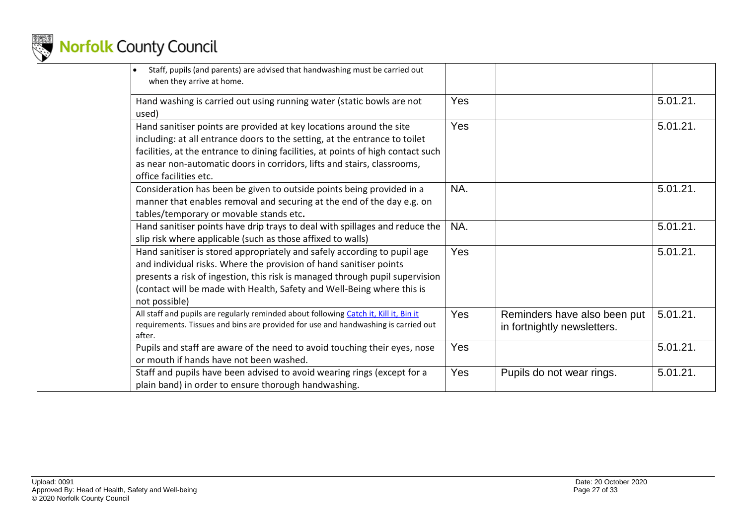

| Staff, pupils (and parents) are advised that handwashing must be carried out<br>$\bullet$<br>when they arrive at home.                                                                                                                                                                                                                     |     |                                                             |          |
|--------------------------------------------------------------------------------------------------------------------------------------------------------------------------------------------------------------------------------------------------------------------------------------------------------------------------------------------|-----|-------------------------------------------------------------|----------|
| Hand washing is carried out using running water (static bowls are not<br>used)                                                                                                                                                                                                                                                             | Yes |                                                             | 5.01.21. |
| Hand sanitiser points are provided at key locations around the site<br>including: at all entrance doors to the setting, at the entrance to toilet<br>facilities, at the entrance to dining facilities, at points of high contact such<br>as near non-automatic doors in corridors, lifts and stairs, classrooms,<br>office facilities etc. | Yes |                                                             | 5.01.21. |
| Consideration has been be given to outside points being provided in a<br>manner that enables removal and securing at the end of the day e.g. on<br>tables/temporary or movable stands etc.                                                                                                                                                 | NA. |                                                             | 5.01.21. |
| Hand sanitiser points have drip trays to deal with spillages and reduce the<br>slip risk where applicable (such as those affixed to walls)                                                                                                                                                                                                 | NA. |                                                             | 5.01.21. |
| Hand sanitiser is stored appropriately and safely according to pupil age<br>and individual risks. Where the provision of hand sanitiser points<br>presents a risk of ingestion, this risk is managed through pupil supervision<br>(contact will be made with Health, Safety and Well-Being where this is<br>not possible)                  | Yes |                                                             | 5.01.21. |
| All staff and pupils are regularly reminded about following Catch it, Kill it, Bin it<br>requirements. Tissues and bins are provided for use and handwashing is carried out<br>after.                                                                                                                                                      | Yes | Reminders have also been put<br>in fortnightly newsletters. | 5.01.21. |
| Pupils and staff are aware of the need to avoid touching their eyes, nose<br>or mouth if hands have not been washed.                                                                                                                                                                                                                       | Yes |                                                             | 5.01.21. |
| Staff and pupils have been advised to avoid wearing rings (except for a<br>plain band) in order to ensure thorough handwashing.                                                                                                                                                                                                            | Yes | Pupils do not wear rings.                                   | 5.01.21. |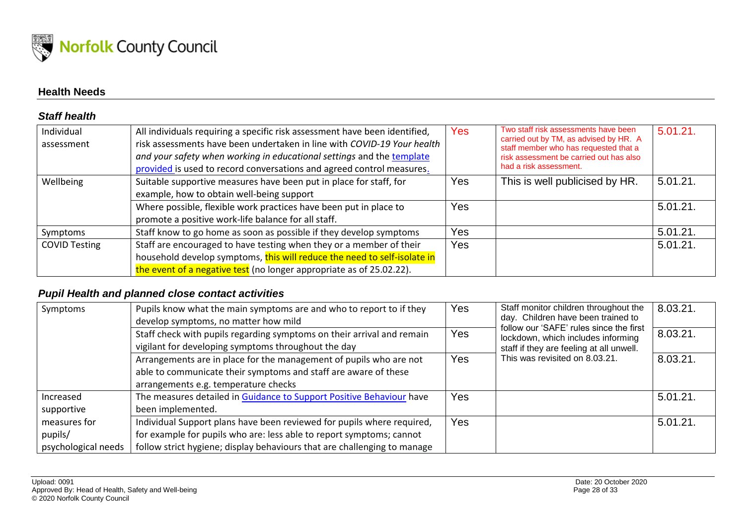

### **Health Needs**

#### *Staff health*

| Individual<br>assessment | All individuals requiring a specific risk assessment have been identified,<br>risk assessments have been undertaken in line with COVID-19 Your health<br>and your safety when working in educational settings and the template<br>provided is used to record conversations and agreed control measures. | Yes | Two staff risk assessments have been<br>carried out by TM, as advised by HR. A<br>staff member who has requested that a<br>risk assessment be carried out has also<br>had a risk assessment. | 5.01.21. |
|--------------------------|---------------------------------------------------------------------------------------------------------------------------------------------------------------------------------------------------------------------------------------------------------------------------------------------------------|-----|----------------------------------------------------------------------------------------------------------------------------------------------------------------------------------------------|----------|
| Wellbeing                | Suitable supportive measures have been put in place for staff, for<br>example, how to obtain well-being support                                                                                                                                                                                         | Yes | This is well publicised by HR.                                                                                                                                                               | 5.01.21. |
|                          | Where possible, flexible work practices have been put in place to<br>promote a positive work-life balance for all staff.                                                                                                                                                                                | Yes |                                                                                                                                                                                              | 5.01.21. |
| Symptoms                 | Staff know to go home as soon as possible if they develop symptoms                                                                                                                                                                                                                                      | Yes |                                                                                                                                                                                              | 5.01.21. |
| <b>COVID Testing</b>     | Staff are encouraged to have testing when they or a member of their<br>household develop symptoms, this will reduce the need to self-isolate in<br>the event of a negative test (no longer appropriate as of 25.02.22).                                                                                 | Yes |                                                                                                                                                                                              | 5.01.21. |

#### <span id="page-27-0"></span>*Pupil Health and planned close contact activities*

<span id="page-27-2"></span><span id="page-27-1"></span>

| Symptoms                                       | Pupils know what the main symptoms are and who to report to if they<br>develop symptoms, no matter how mild                                                                                                                | Yes | Staff monitor children throughout the<br>day. Children have been trained to                                               | 8.03.21. |
|------------------------------------------------|----------------------------------------------------------------------------------------------------------------------------------------------------------------------------------------------------------------------------|-----|---------------------------------------------------------------------------------------------------------------------------|----------|
|                                                | Staff check with pupils regarding symptoms on their arrival and remain<br>vigilant for developing symptoms throughout the day                                                                                              | Yes | follow our 'SAFE' rules since the first<br>lockdown, which includes informing<br>staff if they are feeling at all unwell. | 8.03.21. |
|                                                | Arrangements are in place for the management of pupils who are not<br>able to communicate their symptoms and staff are aware of these<br>arrangements e.g. temperature checks                                              | Yes | This was revisited on 8.03.21.                                                                                            | 8.03.21. |
| Increased<br>supportive                        | The measures detailed in Guidance to Support Positive Behaviour have<br>been implemented.                                                                                                                                  | Yes |                                                                                                                           | 5.01.21. |
| measures for<br>pupils/<br>psychological needs | Individual Support plans have been reviewed for pupils where required,<br>for example for pupils who are: less able to report symptoms; cannot<br>follow strict hygiene; display behaviours that are challenging to manage | Yes |                                                                                                                           | 5.01.21. |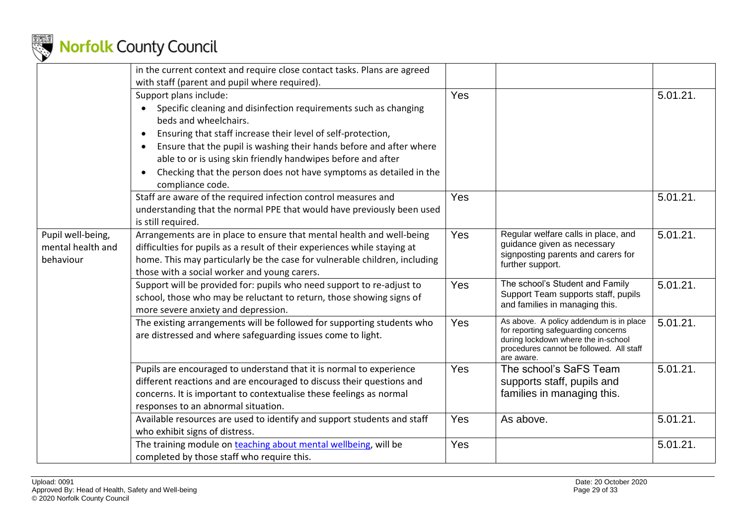

|                   | in the current context and require close contact tasks. Plans are agreed<br>with staff (parent and pupil where required).                                      |     |                                                                                                                                      |          |
|-------------------|----------------------------------------------------------------------------------------------------------------------------------------------------------------|-----|--------------------------------------------------------------------------------------------------------------------------------------|----------|
|                   |                                                                                                                                                                | Yes |                                                                                                                                      | 5.01.21. |
|                   | Support plans include:                                                                                                                                         |     |                                                                                                                                      |          |
|                   | Specific cleaning and disinfection requirements such as changing                                                                                               |     |                                                                                                                                      |          |
|                   | beds and wheelchairs.                                                                                                                                          |     |                                                                                                                                      |          |
|                   | Ensuring that staff increase their level of self-protection,                                                                                                   |     |                                                                                                                                      |          |
|                   | Ensure that the pupil is washing their hands before and after where<br>able to or is using skin friendly handwipes before and after                            |     |                                                                                                                                      |          |
|                   | Checking that the person does not have symptoms as detailed in the<br>compliance code.                                                                         |     |                                                                                                                                      |          |
|                   | Staff are aware of the required infection control measures and<br>understanding that the normal PPE that would have previously been used<br>is still required. | Yes |                                                                                                                                      | 5.01.21. |
| Pupil well-being, | Arrangements are in place to ensure that mental health and well-being                                                                                          | Yes | Regular welfare calls in place, and                                                                                                  | 5.01.21. |
| mental health and | difficulties for pupils as a result of their experiences while staying at                                                                                      |     | guidance given as necessary                                                                                                          |          |
| behaviour         | home. This may particularly be the case for vulnerable children, including                                                                                     |     | signposting parents and carers for                                                                                                   |          |
|                   | those with a social worker and young carers.                                                                                                                   |     | further support.                                                                                                                     |          |
|                   | Support will be provided for: pupils who need support to re-adjust to                                                                                          | Yes | The school's Student and Family                                                                                                      | 5.01.21. |
|                   | school, those who may be reluctant to return, those showing signs of<br>more severe anxiety and depression.                                                    |     | Support Team supports staff, pupils<br>and families in managing this.                                                                |          |
|                   | The existing arrangements will be followed for supporting students who                                                                                         | Yes | As above. A policy addendum is in place                                                                                              | 5.01.21. |
|                   | are distressed and where safeguarding issues come to light.                                                                                                    |     | for reporting safeguarding concerns<br>during lockdown where the in-school<br>procedures cannot be followed. All staff<br>are aware. |          |
|                   | Pupils are encouraged to understand that it is normal to experience                                                                                            | Yes | The school's SaFS Team                                                                                                               | 5.01.21. |
|                   | different reactions and are encouraged to discuss their questions and                                                                                          |     | supports staff, pupils and                                                                                                           |          |
|                   | concerns. It is important to contextualise these feelings as normal                                                                                            |     | families in managing this.                                                                                                           |          |
|                   | responses to an abnormal situation.                                                                                                                            |     |                                                                                                                                      |          |
|                   | Available resources are used to identify and support students and staff                                                                                        | Yes | As above.                                                                                                                            | 5.01.21. |
|                   | who exhibit signs of distress.                                                                                                                                 |     |                                                                                                                                      |          |
|                   | The training module on teaching about mental wellbeing, will be                                                                                                | Yes |                                                                                                                                      | 5.01.21. |
|                   | completed by those staff who require this.                                                                                                                     |     |                                                                                                                                      |          |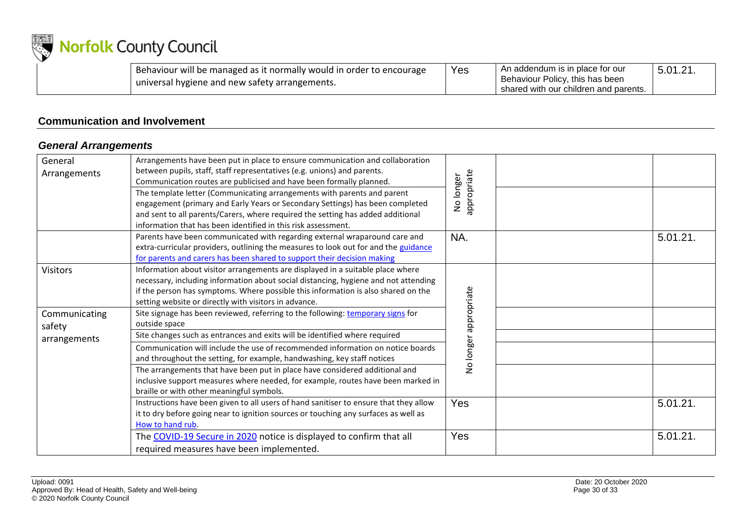

| Behaviour will be managed as it normally would in order to encourage | Yes | An addendum is in place for our         | $5.01.21$ . |
|----------------------------------------------------------------------|-----|-----------------------------------------|-------------|
| universal hygiene and new safety arrangements.                       |     | Behaviour Policy, this has been         |             |
|                                                                      |     | I shared with our children and parents. |             |

### **Communication and Involvement**

### *General Arrangements*

<span id="page-29-1"></span><span id="page-29-0"></span>

| General<br>Arrangements | Arrangements have been put in place to ensure communication and collaboration<br>between pupils, staff, staff representatives (e.g. unions) and parents.<br>Communication routes are publicised and have been formally planned.                                                                                     |                          |          |
|-------------------------|---------------------------------------------------------------------------------------------------------------------------------------------------------------------------------------------------------------------------------------------------------------------------------------------------------------------|--------------------------|----------|
|                         | The template letter (Communicating arrangements with parents and parent<br>engagement (primary and Early Years or Secondary Settings) has been completed<br>and sent to all parents/Carers, where required the setting has added additional<br>information that has been identified in this risk assessment.        | appropriate<br>No longer |          |
|                         | Parents have been communicated with regarding external wraparound care and<br>extra-curricular providers, outlining the measures to look out for and the guidance<br>for parents and carers has been shared to support their decision making                                                                        | NA.                      | 5.01.21. |
| <b>Visitors</b>         | Information about visitor arrangements are displayed in a suitable place where<br>necessary, including information about social distancing, hygiene and not attending<br>if the person has symptoms. Where possible this information is also shared on the<br>setting website or directly with visitors in advance. |                          |          |
| Communicating<br>safety | Site signage has been reviewed, referring to the following: temporary signs for<br>outside space                                                                                                                                                                                                                    | appropriate              |          |
| arrangements            | Site changes such as entrances and exits will be identified where required<br>Communication will include the use of recommended information on notice boards<br>and throughout the setting, for example, handwashing, key staff notices                                                                             | No longer                |          |
|                         | The arrangements that have been put in place have considered additional and<br>inclusive support measures where needed, for example, routes have been marked in<br>braille or with other meaningful symbols.                                                                                                        |                          |          |
|                         | Instructions have been given to all users of hand sanitiser to ensure that they allow<br>it to dry before going near to ignition sources or touching any surfaces as well as<br>How to hand rub.                                                                                                                    | Yes                      | 5.01.21. |
|                         | The COVID-19 Secure in 2020 notice is displayed to confirm that all<br>required measures have been implemented.                                                                                                                                                                                                     | Yes                      | 5.01.21. |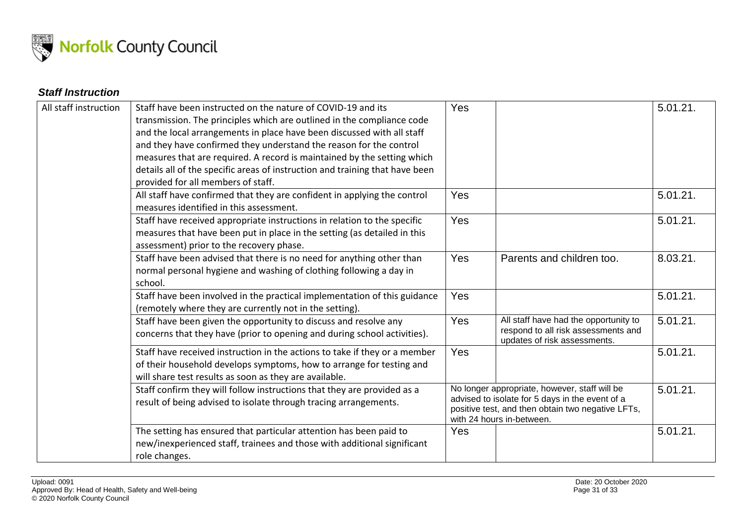

### *Staff Instruction*

<span id="page-30-0"></span>

| All staff instruction | Staff have been instructed on the nature of COVID-19 and its<br>transmission. The principles which are outlined in the compliance code<br>and the local arrangements in place have been discussed with all staff<br>and they have confirmed they understand the reason for the control<br>measures that are required. A record is maintained by the setting which<br>details all of the specific areas of instruction and training that have been<br>provided for all members of staff. | Yes |                                                                                                                                                                                    | 5.01.21. |
|-----------------------|-----------------------------------------------------------------------------------------------------------------------------------------------------------------------------------------------------------------------------------------------------------------------------------------------------------------------------------------------------------------------------------------------------------------------------------------------------------------------------------------|-----|------------------------------------------------------------------------------------------------------------------------------------------------------------------------------------|----------|
|                       | All staff have confirmed that they are confident in applying the control<br>measures identified in this assessment.                                                                                                                                                                                                                                                                                                                                                                     | Yes |                                                                                                                                                                                    | 5.01.21. |
|                       | Staff have received appropriate instructions in relation to the specific<br>measures that have been put in place in the setting (as detailed in this<br>assessment) prior to the recovery phase.                                                                                                                                                                                                                                                                                        | Yes |                                                                                                                                                                                    | 5.01.21. |
|                       | Staff have been advised that there is no need for anything other than<br>normal personal hygiene and washing of clothing following a day in<br>school.                                                                                                                                                                                                                                                                                                                                  | Yes | Parents and children too.                                                                                                                                                          | 8.03.21. |
|                       | Staff have been involved in the practical implementation of this guidance<br>(remotely where they are currently not in the setting).                                                                                                                                                                                                                                                                                                                                                    | Yes |                                                                                                                                                                                    | 5.01.21. |
|                       | Staff have been given the opportunity to discuss and resolve any<br>concerns that they have (prior to opening and during school activities).                                                                                                                                                                                                                                                                                                                                            | Yes | All staff have had the opportunity to<br>respond to all risk assessments and<br>updates of risk assessments.                                                                       | 5.01.21. |
|                       | Staff have received instruction in the actions to take if they or a member<br>of their household develops symptoms, how to arrange for testing and<br>will share test results as soon as they are available.                                                                                                                                                                                                                                                                            | Yes |                                                                                                                                                                                    | 5.01.21. |
|                       | Staff confirm they will follow instructions that they are provided as a<br>result of being advised to isolate through tracing arrangements.                                                                                                                                                                                                                                                                                                                                             |     | No longer appropriate, however, staff will be<br>advised to isolate for 5 days in the event of a<br>positive test, and then obtain two negative LFTs,<br>with 24 hours in-between. | 5.01.21. |
|                       | The setting has ensured that particular attention has been paid to<br>new/inexperienced staff, trainees and those with additional significant<br>role changes.                                                                                                                                                                                                                                                                                                                          | Yes |                                                                                                                                                                                    | 5.01.21. |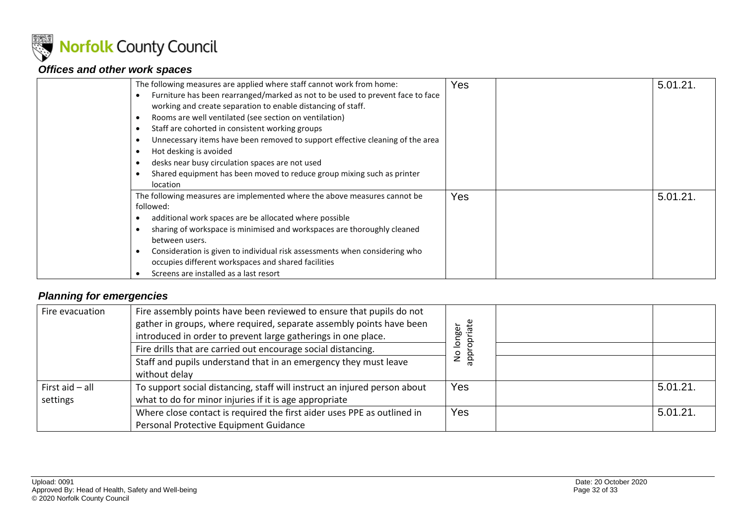

### *Offices and other work spaces*

| The following measures are applied where staff cannot work from home:<br>Furniture has been rearranged/marked as not to be used to prevent face to face<br>working and create separation to enable distancing of staff.<br>Rooms are well ventilated (see section on ventilation)<br>Staff are cohorted in consistent working groups<br>Unnecessary items have been removed to support effective cleaning of the area<br>Hot desking is avoided<br>desks near busy circulation spaces are not used<br>Shared equipment has been moved to reduce group mixing such as printer<br>location | Yes        | 5.01.21 |
|------------------------------------------------------------------------------------------------------------------------------------------------------------------------------------------------------------------------------------------------------------------------------------------------------------------------------------------------------------------------------------------------------------------------------------------------------------------------------------------------------------------------------------------------------------------------------------------|------------|---------|
| The following measures are implemented where the above measures cannot be<br>followed:<br>additional work spaces are be allocated where possible<br>sharing of workspace is minimised and workspaces are thoroughly cleaned<br>between users.<br>Consideration is given to individual risk assessments when considering who<br>occupies different workspaces and shared facilities<br>Screens are installed as a last resort                                                                                                                                                             | <b>Yes</b> | 5.01.21 |

### <span id="page-31-0"></span>*Planning for emergencies*

<span id="page-31-1"></span>

| Fire evacuation   | Fire assembly points have been reviewed to ensure that pupils do not<br>gather in groups, where required, separate assembly points have been | ate<br>longer<br>ō |          |
|-------------------|----------------------------------------------------------------------------------------------------------------------------------------------|--------------------|----------|
|                   | introduced in order to prevent large gatherings in one place.                                                                                |                    |          |
|                   | Fire drills that are carried out encourage social distancing.                                                                                |                    |          |
|                   | Staff and pupils understand that in an emergency they must leave                                                                             | ş<br>app           |          |
|                   | without delay                                                                                                                                |                    |          |
| First $aid - all$ | To support social distancing, staff will instruct an injured person about                                                                    | Yes                | 5.01.21. |
| settings          | what to do for minor injuries if it is age appropriate                                                                                       |                    |          |
|                   | Where close contact is required the first aider uses PPE as outlined in                                                                      | Yes                | 5.01.21. |
|                   | Personal Protective Equipment Guidance                                                                                                       |                    |          |